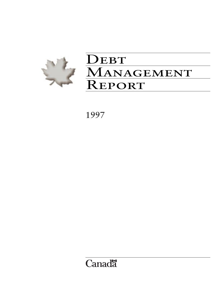

# DEBT MANAGEMENT REPORT

1997

# **Canadä**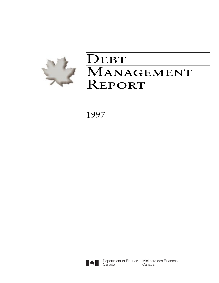

# $\mathbf{DEBT}$ MANAGEMENT Report

1997



**Canada** 

Department of Finance Ministère des Finances Canada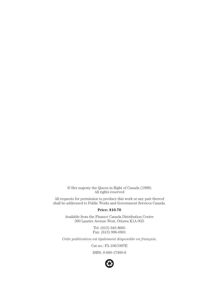© Her majesty the Queen in Right of Canada (1998) All rights reserved

All requests for permission to produce this work or any part thereof shall be addressed to Public Works and Government Services Canada.

#### **Price: \$10.70**

Available from the Finance Canada Distribution Centre 300 Laurier Avenue West, Ottawa K1A 0G5

> Tel: (613) 943-8665 Fax: (613) 996-0901

*Cette publication est également disponible en français*.

Cat no.: F2-106/1997E

ISBN: 0-660-17400-6

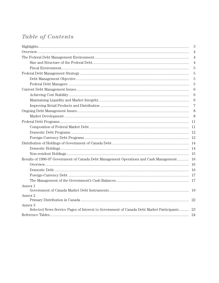# **Table of Contents**

|                                                                                                     | 3   |
|-----------------------------------------------------------------------------------------------------|-----|
|                                                                                                     | 4   |
|                                                                                                     | 4   |
|                                                                                                     | 4   |
|                                                                                                     | 5   |
|                                                                                                     | 5   |
|                                                                                                     | 5   |
|                                                                                                     | 5   |
|                                                                                                     | 6   |
|                                                                                                     | 6   |
|                                                                                                     | 6   |
|                                                                                                     | 7   |
|                                                                                                     | 8   |
|                                                                                                     | 8   |
|                                                                                                     |     |
|                                                                                                     |     |
|                                                                                                     |     |
|                                                                                                     |     |
|                                                                                                     |     |
|                                                                                                     | -14 |
|                                                                                                     |     |
| Results of 1996-97 Government of Canada Debt Management Operations and Cash Management              | 16  |
|                                                                                                     |     |
|                                                                                                     |     |
|                                                                                                     |     |
|                                                                                                     | -17 |
| Annex 1                                                                                             |     |
|                                                                                                     |     |
| Annex 2                                                                                             | 22  |
| Annex 3<br>Selected News Service Pages of Interest to Government of Canada Debt Market Participants | 23  |
|                                                                                                     |     |
|                                                                                                     |     |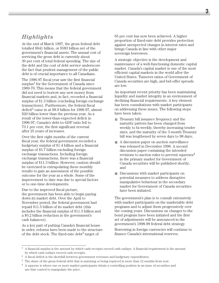# *Highlights*

At the end of March 1997, the gross federal debt totalled \$641 billion, or \$583 billion net of the government's financial assets. The annual cost of servicing the gross debt is currently about 30 per cent of total federal spending. The size of the debt and the cost of debt service underscore the fact that prudent management of the public debt is of crucial importance to all Canadians.

The 1996-97 fiscal year saw the first financial surplus<sup>1</sup> for the Government of Canada since 1969-70. This means that the federal government did not need to borrow any new money from financial markets and, in fact, recorded a financial surplus of \$1.3 billion (excluding foreign exchange transactions). Furthermore, the federal fiscal deficit<sup>2</sup> came in at \$8.9 billion for 1996-97, almost \$20 billion lower than the previous year. As a result of the lower-than-expected deficit in 1996-97, Canada's debt-to-GDP ratio fell to 73.1 per cent, the first significant reversal after 25 years of increases.

Over the first eight months of the current fiscal year, the federal government recorded a budgetary surplus of \$1.4 billion and a financial surplus of \$5.7 billion excluding foreign exchange transactions. Including foreign exchange transactions, there was a financial surplus of \$11.3 billion. However, caution should be exercised in extrapolating these monthly results to gain an assessment of the possible outcome for the year as a whole. Some of the improvement to date was due to special factors or to one-time developments.

Due to the improved fiscal picture, the government has been able to begin paying down its market debt. Over the April to November period, the federal government had repaid \$11.5 billion of its market debt (this includes the financial surplus of \$11.3 billion and a \$0.2 billion reduction in the government's cash balances).

As a key part of putting Canada's financial house in order, reforms have been made to the structure of the debt stock. The fixed-rate debt<sup>3</sup> target of

65 per cent has now been achieved. A higher proportion of fixed-rate debt provides protection against unexpected changes in interest rates and brings Canada in line with other major sovereign borrowers.

A strategic objective is the development and maintenance of a well-functioning domestic capital market. Canada's capital market is one of the most efficient capital markets in the world after the United States. Turnover ratios of Government of Canada securities are high, and bid-offer spreads are low.

An important recent priority has been maintaining liquidity and market integrity in an environment of declining financial requirements. A key element has been consultations with market participants on addressing these issues. The following steps have been taken:

- Treasury bill issuance frequency and the maturity pattern has been changed from weekly to bi-weekly, thereby increasing tender sizes, and the maturity of the 3-month Treasury bill was lengthened by seven days to 98 days;
- A discussion paper on auction surveillance was released in December 1996. A second discussion paper containing the intended revisions to auction rules to prevent squeezes $4$ in the primary market for Government of Canada securities will be published shortly; and
- Discussions with market participants on potential measures to address disruptive manipulative behaviour in the secondary market for Government of Canada securities have been initiated.

The government's plan is to consult extensively with market participants on the marketable debt programs and to adjust them progressively over the coming years. Discussions on changes to the bond program have been initiated and the first set of adjustments will be announced in the government's 1998-99 federal debt strategy.

Borrowing in foreign currencies will continue to finance Canada's international reserves.

 $<sup>1</sup>$  A financial surplus is the amount by which cash receipts exceed cash outlays. A financial requirement is the amount</sup> by which cash outlays exceed cash receipts.

 $^2\,$  A fiscal deficit is the shortfall between government revenues and budgetary expenditures.

<sup>&</sup>lt;sup>3</sup> The share of the gross federal debt that is maturing or being repriced in more than 12 months from now.

<sup>4</sup> A squeeze is where one or more market participants obtain a controlling position in an issue of securities and use that control to manipulate the price.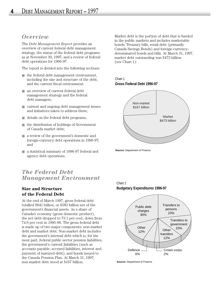# *Overview*

The *Debt Management Report* provides an overview of current federal debt management strategy, the status of the federal debt programs as at November 30, 1997, and a review of federal debt operations for 1996-97.

The report is divided into the following sections:

- $\blacksquare$  the federal debt management environment, including the size and structure of the debt, and the current fiscal environment;
- an overview of current federal debt management strategy and the federal debt managers;
- current and ongoing debt management issues and initiatives taken to address them;
- details on the federal debt programs;
- the distribution of holdings of Government of Canada market debt;
- a review of the government's domestic and foreign-currency debt operations in 1996-97; and
- a statistical summary of 1996-97 federal and agency debt operations.

# *The Federal Debt Management Environment*

# **Size and Structure of the Federal Debt**

At the end of March 1997, gross federal debt totalled \$641 billion, or \$583 billion net of the government's financial assets. As a share of Canada's economy (gross domestic product), the net debt dropped to 73.1 per cent, down from 74.0 per cent in 1995-96. The gross federal debt is made up of two major components: non-market debt and market debt. Non-market debt includes the government's internal debt which is, for the most part, federal public sector pension liabilities, the government's current liabilities (such as accounts payable, accrued liabilities, interest and payment of matured debt), and bonds issued to the Canada Pension Plan. At March 31, 1997, non-market debt stood at \$167 billion.

Market debt is the portion of debt that is funded in the public markets and includes marketable bonds, Treasury bills, retail debt (primarily Canada Savings Bonds) and foreign-currencydenominated bonds and bills. At March 31, 1997, market debt outstanding was \$473 billion (see Chart 1).

#### Chart 1 **Gross Federal Debt 1996-97**



**Source:** Department of Finance

#### Chart 2 **Budgetary Expenditures 1996-97**



**Source:** Department of Finance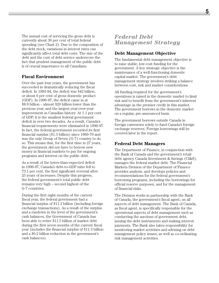The annual cost of servicing the gross debt is currently about 30 per cent of total federal spending (see Chart 2). Due to the composition of the debt stock, variations in interest rates can significantly affect total debt costs. The size of the debt and the cost of debt service underscore the fact that prudent management of the public debt is of crucial importance to all Canadians.

## **Fiscal Environment**

Over the past four years, the government has succeeded in dramatically reducing the fiscal deficit. In 1993-94, the deficit was \$42 billion, or about 6 per cent of gross domestic product (GDP). In 1996-97, the deficit came in at \$8.9 billion – almost \$20 billion lower than the previous year, and the largest year-over-year improvement in Canadian history. At 1.1 per cent of GDP, it is the smallest federal government deficit in over two decades. As a result, Canada's financial requirements were eliminated in 1996-97. In fact, the federal government recorded its first financial surplus (\$1.3 billion) since 1969-70 and was the only Group of Seven (G-7) country to do so. This means that, for the first time in 27 years, the government did not have to borrow new money in financial markets to pay for ongoing programs and interest on the public debt.

As a result of the lower-than-expected deficit in 1996-97, Canada's debt-to-GDP ratio fell to 73.1 per cent, the first significant reversal after 25 years of increases. Despite this progress, the federal government's total public debt remains very high – second highest of the G-7 countries.

During the first eight months of the current fiscal year, the federal government had a financial surplus of \$11.3 billion (including foreign exchange transactions). As a result of the surplus and a rundown in the level of the government's cash balances, the Government of Canada has been able to retire \$11.5 billion of market debt during the first seven months of the current fiscal year (includes the financial surplus of \$11.3 billion and a \$0.2 billion reduction in the government's cash balances).

# *Federal Debt Management Strategy*

## **Debt Management Objective**

The fundamental debt management objective is to raise stable, low-cost funding for the government. A key strategic objective is the maintenance of a well-functioning domestic capital market. The government's debt management strategy involves striking a balance between cost, risk and market considerations.

All funding required for the government's operations is raised in the domestic market to limit risk and to benefit from the government's inherent advantage as the premier credit in this market. The government borrows in the domestic market on a regular, pre-announced basis.

The government borrows outside Canada in foreign currencies solely to fund Canada's foreign exchange reserves. Foreign borrowings will be covered later in the report.

#### **Federal Debt Managers**

The Department of Finance, in conjunction with the Bank of Canada and the government's retail debt agency Canada Investment & Savings (CI&S), manages the federal market debt. The Financial Markets Division of the Department of Finance provides analysis, and develops policies and recommendations for the federal government's borrowing programs, including the borrowings for official reserve purposes, and for the management of financial risks.

The Division works in partnership with the Bank of Canada, the government's fiscal agent, on all aspects of debt management. The Bank of Canada, as fiscal agent, is specifically responsible for the operational aspects of debt management such as conducting the auctions of government debt, issuing the debt instruments and making interest payments. The Bank also takes responsibility for monitoring market activities and advising on debt management policy issues, as well as co-ordinating risk management activities.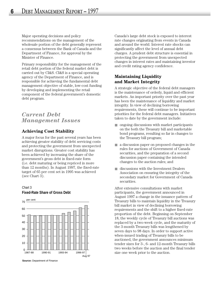Major operating decisions and policy recommendations on the management of the wholesale portion of the debt generally represent a consensus between the Bank of Canada and the Department of Finance, for approval by the Minister of Finance.

Primary responsibility for the management of the retail debt portion of the federal market debt is carried out by CI&S. CI&S is a special operating agency of the Department of Finance, and is responsible for achieving the fundamental debt management objective of stable, low-cost funding by developing and implementing the retail component of the federal government's domestic debt program.

# *Current Debt Management Issues*

# **Achieving Cost Stability**

A major focus for the past several years has been achieving greater stability of debt servicing costs and protecting the government from unexpected market disruptions. Greater cost stability has been achieved by increasing the share of the government's gross debt in fixed-rate form (i.e. debt maturing or being repriced in more than 12 months). In August 1997, the fixed-rate target of 65 per cent set in 1995 was achieved (see Chart 3).

#### Chart 3 **Fixed-Rate Share of Gross Debt**



**Source:** Department of Finance

Canada's large debt stock is exposed to interest rate changes originating from events in Canada and around the world. Interest rate shocks can significantly affect the level of annual debt charges. A prudent debt structure is essential in protecting the government from unexpected changes in interest rates and maintaining investor and credit rating agency confidence.

# **Maintaining Liquidity and Market Integrity**

A strategic objective of the federal debt managers is the maintenance of orderly, liquid and efficient markets. An important priority over the past year has been the maintenance of liquidity and market integrity. In view of declining borrowing requirements, these will continue to be important priorities for the federal debt managers. Initiatives taken to date by the government include:

- ongoing discussions with market participants on the both the Treasury bill and marketable bond programs, resulting so far in changes to the Treasury bill program;
- a discussion paper on proposed changes in the rules for auctions of Government of Canada securities, and the preparation of a second discussion paper containing the intended changes to the auction rules; and
- discussions with the Investment Dealers Association on ensuring the integrity of the secondary market for Government of Canada securities.

After extensive consultations with market participants, the government announced in August 1997 a change in the issuance pattern of Treasury bills to maintain liquidity in the Treasury bill market in view of declining borrowing requirements and the shift to a higher fixed-rate proportion of the debt. Beginning on September 18, the weekly cycle of Treasury bill auctions was replaced by a two-week cycle, and the maturity of the 3-month Treasury bills was lengthened by seven days to 98 days. In order to support active when-issued trading of Treasury bills to be auctioned, the government announces minimum tender sizes for 3-, 6- and 12-month Treasury bills two weeks before the auction and the final tender size one week prior to the auction.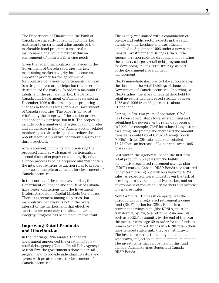The Department of Finance and the Bank of Canada are currently consulting with market participants on structural adjustments to the marketable bond program to ensure the maintenance of a liquid market within an environment of declining financing needs.

Given the recent manipulative behaviour in the Government of Canada securities market, maintaining market integrity has become an important priority for the government. Manipulative behaviour by participants can lead to a drop in investor participation to the serious detriment of the market. In order to maintain the integrity of the primary market, the Bank of Canada and Department of Finance released in December 1996 a discussion paper proposing changes in the rules for auctions of Government of Canada securities. The paper is aimed at reinforcing the integrity of the auction process and enhancing participation in it. The proposals include both a number of changes in auction rules and an increase in Bank of Canada auction-related monitoring activities designed to reduce the potential for manipulative behaviour prior to and during auctions.

After receiving comments and discussing the proposed changes with market participants, a second discussion paper on the integrity of the auction process is being prepared and will contain the intended revisions to auction rules to prevent squeezes in the primary market for Government of Canada securities.

In the context of the secondary market, the Department of Finance and the Bank of Canada have begun discussions with the Investment Dealers Association Capital Markets Committee. There is agreement among all parties that manipulative behaviour is not in the overall interest of the markets, and that effective sanctions are necessary to maintain market integrity. Progress has been made on this front.

# **Improving Retail Products and Distribution**

In the February 1995 budget, the federal government announced the creation of a new retail debt agency (Canada Retail Debt Agency) to revitalize the government's domestic retail program and to provide individual investors and savers with greater access to Government of Canada securities.

The agency was staffed with a combination of private and public sector experts in the retail investment marketplace and was officially launched in September 1996 under a new name, Canada Investment and Savings (CI&S). The Agency is responsible for directing and operating the country's largest retail debt program and for developing its long-term strategy, as part of the government's overall debt management.

CI&S's immediate goal was to take action to stop the decline in the retail holdings of domestic Government of Canada securities. According to CI&S studies, the share of federal debt held by retail investors had decreased steadily between 1988 and 1996 from 33 per cent to about 21 per cent.

During its first two years of operation, CI&S has taken several steps towards stabilizing and rebuilding the government's retail debt program. In 1996, for example, CI&S introduced longer term escalating rate pricing and increased the amount Canadians could buy of Canada Savings Bonds (CSBs). Gross CSB sales that year totalled \$5.7 billion, an increase of 24 per cent over 1995 gross sales.

Last winter, the Agency launched the first new retail product in 50 years for the highly competitive registered retirement savings plan (RRSP) market. Canada RRSP Bonds also featured longer term pricing but with less liquidity. RRSP sales, as expected, were modest given the task of breaking into a very competitive market, and an environment of robust equity markets and historic low interest rates.

New for the fall 1997 CSB campaign was the introduction of a registered retirement income fund (RRIF) option for CSBs. Funds in a retirement savings plan (like RRSPs) must be transferred, by law, to a retirement income plan, such as a RRIF or annuity, by the end of the year the investor turns age 69 in order for the funds to remain tax sheltered. Funds in a RRIF retain their tax-sheltered status until they are withdrawn. The investor controls the timing and amount withdrawn, subject to an annual minimum amount. The investments that can be held in this fund include Canada Savings Bonds and Canada RRSP Bonds.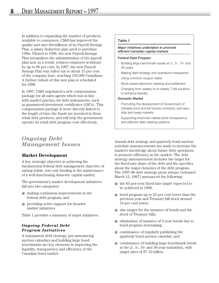In addition to expanding the number of products available to consumers, CI&S has improved the quality and user friendliness of its Payroll Savings Plan, a salary deduction plan used to purchase CSBs. Piloted in 1996, the new Payroll Savings Plan streamlines the administration of the payroll plan and, as a result, reduces employer workload by up to 80 per cent. In 1997, the new Payroll Savings Plan was rolled out to about 15 per cent of the company base, reaching 150,000 Canadians. A further rollout of this new plan is scheduled for 1998.

In 1997, CI&S negotiated a new compensation package for all sales agents which was in line with market practice for debt instruments, such as guaranteed investment certificates (GICs). This compensation package is more directly linked to the length of time the funds are invested in these retail debt products, and will help the government operate its retail debt program cost-effectively.

# *Ongoing Debt Management Issues*

# **Market Development**

A key strategic objective in achieving the fundamental federal debt management objective of raising stable, low-cost funding is the maintenance of a well-functioning domestic capital market.

The government's market development initiatives fall into two categories:

- making continuous improvements in the federal debt program; and
- providing active support for broader market initiatives.

Table 1 provides a summary of major initiatives.

## *Ongoing Federal Debt Program Initiatives*

A transparent debt strategy, pre-announcing auction calendars and building large bond benchmarks are key elements in improving the liquidity, transparency and efficiency of the Canadian bond market.

#### **Table 1**

#### *Major initiatives undertaken to promote efficient Canadian capital markets*

#### **Federal Debt Program**

- Building large benchmark issues at 2-, 5-, 10- and 30-years
- Making debt strategy and operations transparent
- Using common coupon dates
- Book-based electronic clearing and settlement
- Changing from weekly to bi-weekly T-bill auctions to enhance liquidity

#### **Domestic Market**

- Promoting the development of Government of Canada bond and bill futures contracts, and repo, strip and swap markets
- Supporting improved market price transparency and effective debt clearing systems

Annual debt strategy and quarterly bond auction schedule announcements are made to increase the market's knowledge about future debt operations to promote efficiency in the market. The debt strategy announcement includes the target for the fixed-rate share of the debt and the specifics about the major elements of the debt program. The 1997-98 debt strategy press release (released March 13, 1997) announced the following:

- the 65-per-cent fixed-rate target expected to be achieved in 1998;
- bond program up to 25 per cent lower than the previous year and Treasury bill stock around 10 per cent lower;
- size ranges for the issuance of bonds and the stock of Treasury bills;
- elimination of issuance of 3-year bonds due to bond program downsizing;
- continuance of regularly publishing the quarterly bond auction calendar; and
- continuance of building large benchmark bonds at the 2-, 5-, 10- and 30-year maturities, with target sizes of \$7-10 billion.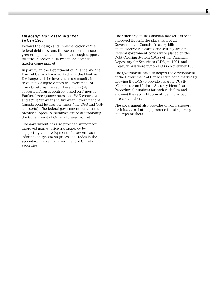#### *Ongoing Domestic Market Initiatives*

Beyond the design and implementation of the federal debt program, the government pursues greater liquidity and efficiency through support for private sector initiatives in the domestic fixed-income market.

In particular, the Department of Finance and the Bank of Canada have worked with the Montreal Exchange and the investment community in developing a liquid domestic Government of Canada futures market. There is a highly successful futures contract based on 3-month Bankers' Acceptance rates (the BAX contract) and active ten-year and five-year Government of Canada bond futures contracts (the CGB and CGF contracts). The federal government continues to provide support to initiatives aimed at promoting the Government of Canada futures market.

The government has also provided support for improved market price transparency by supporting the development of a screen-based information system on prices and trades in the secondary market in Government of Canada securities.

The efficiency of the Canadian market has been improved through the placement of all Government of Canada Treasury bills and bonds on an electronic clearing and settling system. Federal government bonds were placed on the Debt Clearing System (DCS) of the Canadian Depository for Securities (CDS) in 1994, and Treasury bills were put on DCS in November 1995.

The government has also helped the development of the Government of Canada strip bond market by allowing the DCS to provide separate CUSIP (Committee on Uniform Security Identification Procedures) numbers for each cash flow and allowing the reconstitution of cash flows back into conventional bonds.

The government also provides ongoing support for initiatives that help promote the strip, swap and repo markets.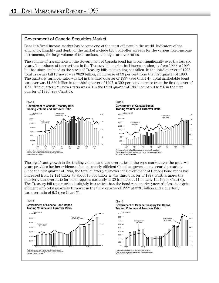#### **Government of Canada Securities Market**

Canada's fixed-income market has become one of the most efficient in the world. Indicators of the efficiency, liquidity and depth of the market include tight bid-offer spreads for the various fixed-income instruments, the large volume of transactions, and high turnover ratios.

The volume of transactions in the Government of Canada bond has grown significantly over the last six years. The volume of transactions in the Treasury bill market had increased sharply from 1990 to 1995, but has since declined as the stock of Treasury bills outstanding has fallen. In the third quarter of 1997, total Treasury bill turnover was \$623 billion, an increase of 53 per cent from the first quarter of 1990. The quarterly turnover ratio was 5.4 in the third quarter of 1997 (see Chart 4). Total marketable bond turnover was \$1,320 billion in the third quarter of 1997, a 300-per-cent increase from the first quarter of 1990. The quarterly turnover ratio was 4.3 in the third quarter of 1997 compared to 2.6 in the first quarter of 1990 (see Chart 5).



The significant growth in the trading volume and turnover ratios in the repo market over the past two years provides further evidence of an extremely efficient Canadian government securities market. Since the first quarter of 1994, the total quarterly turnover for Government of Canada bond repos has increased from \$2,194 billion to about \$6,060 billion in the third quarter of 1997. Furthermore, the quarterly turnover ratio for bond repos is currently at 20 from about 11 in early 1994 (see Chart 6). The Treasury bill repo market is slightly less active than the bond repo market; nevertheless, it is quite efficient with total quarterly turnover in the third quarter of 1997 at \$731 billion and a quarterly turnover ratio of 6.3 (see Chart 7).



#### Chart 7 **Government of Canada Treasury Bill Repos Trading Volume and Turnover Ratio**

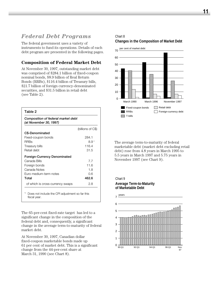# *Federal Debt Programs*

The federal government uses a variety of instruments to fund its operations. Details of each debt program are presented in the following pages.

# **Composition of Federal Market Debt**

At November 30, 1997, outstanding market debt was comprised of \$284.1 billion of fixed-coupon nominal bonds, \$8.9 billion of Real Return Bonds (RRBs), \$116.4 billion of Treasury bills, \$21.7 billion of foreign currency-denominated securities, and \$31.5 billion in retail debt (see Table 2).

| Composition of federal market debt<br>(at November 30, 1997) |                   |
|--------------------------------------------------------------|-------------------|
|                                                              | (billions of C\$) |
| C\$-Denominated                                              |                   |
| Fixed-coupon bonds                                           | 284.1             |
| <b>RRBs</b>                                                  | 8.91              |
| Treasury bills                                               | 116.4             |
| Retail debt                                                  | 31.5              |
| Foreign-Currency Denominated                                 |                   |
| Canada Bills                                                 | 77                |
| Foreign bonds                                                | 11.6              |
| Canada Notes                                                 | 1.8               |
| Furo medium-term notes                                       | 0.6               |
| Total                                                        | 462.6             |
| of which is cross-currency swaps                             | 2.8               |

The 65-per-cent fixed-rate target has led to a significant change in the composition of the federal debt and, consequently, a significant change in the average term-to-maturity of federal market debt.

At November 30, 1997, Canadian dollar fixed-coupon marketable bonds made up 61 per cent of market debt. This is a significant change from the 44-per-cent share at March 31, 1990 (see Chart 8).

# Chart 8

#### **Changes in the Composition of Market Debt**



The average term-to-maturity of federal marketable debt (market debt excluding retail debt) rose from 4.8 years in March 1995 to 5.5 years in March 1997 and 5.75 years in November 1997 (see Chart 9).

#### Chart 9 **Average Term-to-Maturity of Marketable Debt**

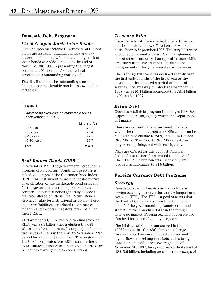# **Domestic Debt Programs**

#### *Fixed-Coupon Marketable Bonds*

Fixed-coupon marketable Government of Canada bonds are issued in Canadian dollars and pay interest semi-annually. The outstanding stock of these bonds was \$284.1 billion at the end of November 30, 1997, representing the largest component (61 per cent) of the federal government's outstanding market debt.

The distribution of the outstanding stock of fixed-coupon marketable bonds is shown below in Table 3.

| Table 3                                                             |                 |
|---------------------------------------------------------------------|-----------------|
| Outstanding fixed-coupon marketable bonds<br>(at November 30, 1997) |                 |
|                                                                     | billions of C\$ |
| 0-2 years                                                           | 72 S            |
| 2-5 years                                                           | 79.4            |
| 5-10 years                                                          | 72.7            |
| $10-30$ years                                                       | 59.7            |
| Total                                                               | 284.1           |
|                                                                     |                 |

# *Real Return Bonds (RRBs)*

In November 1991, the government introduced a program of Real Return Bonds whose return is linked to changes in the Consumer Price Index (CPI). This instrument represents cost-effective diversification of the marketable bond program for the government as the implied real rates on comparable nominal bonds generally exceed the real rate offered on RRBs. Real Return Bonds also have value for institutional investors whose long-term liabilities are related to the rate of inflation and for retail investors, principally for their RRSPs.

At November 30, 1997, the outstanding stock of RRBs was \$8.9 billion (not including the CPI adjustment for the current fiscal year), including two issues of RRBs in the April to November 1997 period for a total of \$900 million. The program for 1997-98 incorporates four RRB issues having a total issuance target of around \$2 billion. RRBs are issued via quarterly single-price auctions.

# *Treasury Bills*

Treasury bills with terms to maturity of three, six and 12 months are now offered on a bi-weekly basis. Prior to September 1997, Treasury bills were auctioned on a weekly basis. Cash management bills of shorter maturity than typical Treasury bills are issued from time to time to facilitate the management of the government's cash balances.

The Treasury bill stock has declined sharply over the first eight months of the fiscal year as the government has entered a period of financial sources. The Treasury bill stock at November 30, 1997 was \$116.4 billion compared to \$135.4 billion at March 31, 1997.

# *Retail Debt*

Canada's retail debt program is managed by CI&S, a special operating agency within the Department of Finance.

There are currently two investment products within the retail debt program: CSBs which can be held within or outside RRSPs, and a new Canada RRSP Bond. The Canada RRSP Bond features longer-term pricing, but with less liquidity.

CSBs are offered for sale by most Canadian financial institutions for a limited time in the fall. The 1997 CSB campaign was successful, with gross sales amounting to \$4.9 billion.

# **Foreign Currency Debt Programs**

#### *Strategy*

Canada borrows in foreign currencies to raise foreign exchange reserves for the Exchange Fund Account (EFA). The EFA is a pool of assets that the Bank of Canada uses from time to time on behalf of the government to promote order and stability of the Canadian dollar in the foreign exchange market. Foreign exchange reserves are also held for general liquidity purposes.

The Minister of Finance announced in the 1996 budget that Canada's foreign exchange reserves would be raised modestly to account for higher flows in exchange markets and to bring Canada in line with other sovereigns. As of November 30, 1997, foreign-currency debt stood at US\$15.6 billion. Including cross-currency swaps of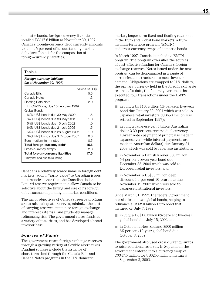domestic bonds, foreign-currency liabilities totalled US\$17.6 billion at November 30, 1997. Canada's foreign-currency debt currently amounts to about 5 per cent of its outstanding market debt (see Table 4 for the composition of foreign-currency liabilities).

| Table 4                                                       |                  |
|---------------------------------------------------------------|------------------|
| Foreign currency liabilities<br>(as at November 30, 1997)     |                  |
|                                                               | billions of US\$ |
| Canada Bills                                                  | 5.5              |
| Canada Notes                                                  | 1.3              |
| <b>Floating Rate Note</b>                                     | 2.0              |
| LIBOR-25bps, due 15 February 1999                             |                  |
| Global Bonds                                                  |                  |
| 6½% US\$ bonds due 30 May 2000                                | 1.5              |
| 6½% US\$ bonds due 30 May 2001                                | 1.0              |
| 6%% US\$ bonds due 15 July 2002                               | 1.0              |
| 6%% US\$ bonds due 21 July 2005                               | 1.5              |
| 6 <sup>3</sup> / <sub>4</sub> % US\$ bonds due 28 August 2006 | 1 <sub>0</sub>   |
| 6%% NZ\$ bonds due 3 October 2007                             | 0.3              |
| Furo medium-term notes                                        | 0.5              |
| Total foreign-currency debt*                                  | 15.6             |
| Cross-currency swaps                                          | 2.0              |
| Total foreign-currency liabilities                            | 17.6             |
| * may not add due to rounding                                 |                  |

Canada is a relatively scarce name in foreign debt markets, adding "rarity value" to Canadian issues in currencies other than the Canadian dollar. Limited reserve requirements allow Canada to be selective about the timing and size of its foreign debt issuance depending on market conditions.

The major objectives of Canada's reserve program are to raise adequate reserves, minimize the cost of carrying reserves, immunize foreign exchange and interest rate risk, and prudently manage refinancing risk. The government raises funds at a variety of maturities, and has developed a broad investor base.

#### *Sources of Funds*

The government raises foreign exchange reserves through a growing variety of flexible alternatives. Funding sources include the issuance of short-term debt through the Canada Bills and Canada Notes programs in the U.S. domestic

market, longer-term fixed and floating rate bonds in the Euro and Global bond markets, a Euro medium-term note program (EMTN), and cross-currency swaps of domestic bonds.

In March 1997, Canada launched its EMTN program. The program diversifies the sources of cost-effective funding for Canada's foreign exchange reserves. Notes issued under the new program can be denominated in a range of currencies and structured to meet investor demand. Obligations are swapped to U.S. dollars, the primary currency held in the foreign exchange reserves. To date, the federal government has executed four transactions under the EMTN program:

- in July, a US\$450 million 5½-per-cent five-year bond due January 30, 2001 which was sold to Japanese retail investors (US\$50 million was retired in September 1997);
- in July, a Japanese yen 5 billion Australian dollar 3.30-per-cent reverse dual currency 10-year note (payment of principal is made in Japanese yen, while interest payments are made in Australian dollars) due January 31, 2008 which was sold to Japanese institutions;
- in November, a Danish Kroner 500 million 51 ⁄2-per-cent seven-year bond due December 22, 2004 which was sold to European retail investors; and
- in November, a US\$30 million deep discount 4.0-per-cent 10-year note due November 19, 2007 which was sold to Japanese institutional investors.

Since March 31, 1997, the federal government has also issued two global bonds, helping to refinance a US\$2.0 billion Euro bond that matured on July 7, 1997:

- in July, a US\$1.0 billion 6<sup>1</sup>⁄<sub>8</sub>-per-cent five-year global bond due July 15, 2002; and
- in October, a New Zealand \$500 million 65 ⁄8-per-cent 10-year global bond due October 3, 2007.

The government also used cross-currency swaps to raise additional reserves. In September, the government entered into a currency swap of C\$347.5 million for US\$250 million, maturing on September 3, 2002.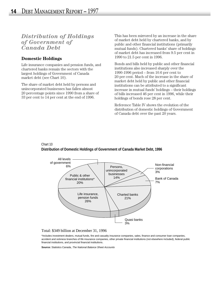# *Distribution of Holdings of Government of Canada Debt*

# **Domestic Holdings**

Life insurance companies and pension funds, and chartered banks remain the sectors with the largest holdings of Government of Canada market debt (see Chart 10).

The share of market debt held by persons and unincorporated businesses has fallen almost 20 percentage points since 1990 from a share of 33 per cent to 14 per cent at the end of 1996.

This has been mirrored by an increase in the share of market debt held by chartered banks, and by public and other financial institutions (primarily mutual funds). Chartered banks' share of holdings of market debt has increased from 9.5 per cent in 1990 to 21.5 per cent in 1996.

Bonds and bills held by public and other financial institutions also increased sharply over the 1990-1996 period – from 10.6 per cent to 20 per cent. Much of the increase in the share of market debt held by public and other financial institutions can be attributed to a significant increase in mutual funds' holdings – their holdings of bills increased 46 per cent in 1996, while their holdings of bonds rose 28 per cent.

Reference Table IV shows the evolution of the distribution of domestic holdings of Government of Canada debt over the past 20 years.

#### Chart 10 **Distribution of Domestic Holdings of Government of Canada Market Debt, 1996**



#### Total: \$349 billion at December 31, 1996

\*Includes investment dealers, mutual funds, fire and casualty insurance companies, sales, finance and consumer loan companies, accident and sickness branches of life insurance companies, other private financial institutions (not elsewhere included), federal public financial institutions, and provincial financial institutions.

**Source:** Statistics Canada, The National Balance Sheet Accounts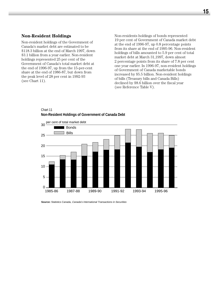#### **Non-Resident Holdings**

Non-resident holdings of the Government of Canada's market debt are estimated to be \$118.3 billion at the end of March 1997, down \$3.1 billion from a year earlier. Non-resident holdings represented 25 per cent of the Government of Canada's total market debt at the end of 1996-97, up from the 15-per-cent share at the end of 1986-87, but down from the peak level of 28 per cent in 1992-93 (see Chart 11).

Non-residents holdings of bonds represented 19 per cent of Government of Canada market debt at the end of 1996-97, up 0.8 percentage points from its share at the end of 1995-96. Non-resident holdings of bills amounted to 5.9 per cent of total market debt at March 31,1997, down almost 2 percentage points from its share of 7.8 per cent one year earlier. In 1996-97, non-resident holdings of Government of Canada marketable bonds increased by \$5.5 billion. Non-resident holdings of bills (Treasury bills and Canada Bills) declined by \$8.6 billion over the fiscal year (see Reference Table V).

#### Chart 11 **Non-Resident Holdings of Government of Canada Debt**



**Source:** Statistics Canada, Canada's International Transactions in Securities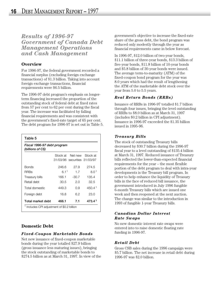*Results of 1996-97 Government of Canada Debt Management Operations and Cash Management*

# **Overview**

For 1996-97, the federal government recorded a financial surplus (excluding foreign exchange transactions) of \$1.3 billion. Taking into account foreign exchange transactions, financial requirements were \$6.5 billion.

The 1996-97 debt program's emphasis on longerterm financing increased the proportion of the outstanding stock of federal debt at fixed rates from 57 per cent to 62 per cent during the fiscal year. The increase was facilitated by falling financial requirements and was consistent with the government's fixed-rate target of 65 per cent. The debt program for 1996-97 is set out in Table 5.

| Table 5                                          |          |                              |                    |
|--------------------------------------------------|----------|------------------------------|--------------------|
| Fiscal 1996-97 debt program<br>(billions of C\$) |          |                              |                    |
|                                                  | Stock at | Net new Stock at             |                    |
|                                                  |          | 31/03/96 securities 31/03/97 |                    |
| <b>Bonds</b>                                     | 246.6    | 27.9                         | 274.5              |
| RRBs                                             | 6.11     | 1.7                          | 8.01               |
| Treasury bills                                   | 166.1    | $-30.7$                      | 135.4              |
| Retail debt                                      | 30.5     | 2.0                          | 32.5               |
| Total domestic                                   | 449.3    | 0.9                          | 450.4 <sup>1</sup> |
| Foreign debt                                     | 16.8     | 6.2                          | 23.0               |
| Total market debt                                | 466.1    | 7.1                          | 473.4              |
| Includes CPI adjustment of \$0.2 billion         |          |                              |                    |

# **Domestic Debt**

# *Fixed-Coupon Marketable Bonds*

Net new issuance of fixed-coupon marketable bonds during the year totalled \$27.9 billion (gross issuance less maturing issues), bringing the stock outstanding of marketable bonds to \$274.5 billion as at March 31, 1997. In view of the government's objective to increase the fixed-rate share of the gross debt, the bond program was reduced only modestly through the year as financial requirements came in below forecast.

In 1996-97, \$12.0 billion of two-year bonds, \$11.1 billion of three-year bonds, \$13.3 billion of five-year bonds, \$11.8 billion of 10-year bonds and \$5.8 billion of 30-year bonds were issued. The average term-to-maturity (ATM) of the fixed-coupon bond program for the year was 8.0 years which had the result of lengthening the ATM of the marketable debt stock over the year from 5.0 to 5.5 years.

# *Real Return Bonds (RRBs)*

Issuance of RRBs in 1996-97 totalled \$1.7 billion through four issues, bringing the level outstanding of RRBs to \$8.0 billion as at March 31, 1997 (includes \$0.2 billion in CPI adjustment). Issuance in 1996-97 exceeded the \$1.35 billion issued in 1995-96.

# *Treasury Bills*

The stock of outstanding Treasury bills decreased by \$30.7 billion during the 1996-97 fiscal year to a level outstanding of \$135.4 billion at March 31, 1997. Reduced issuance of Treasury bills reflected the lower-than-expected financial requirements for the year – the most flexible portion of the debt program to deal with intra-year developments is the Treasury bill program. In order to help enhance the liquidity of Treasury bills in the face of reduced bill issuance, the government introduced in July 1996 fungible 6-month Treasury bills which are issued one week and then reopened at the next auction. The change was similar to the introduction in 1993 of fungible 1-year Treasury bills.

## *Canadian Dollar Interest Rate Swaps*

No new domestic interest rate swaps were entered into to raise domestic floating rate funding in 1996-97.

# *Retail Debt*

Gross CSB sales during the 1996 campaign were \$5.7 billion. The net increase in retail debt during 1996-97 was \$2.0 billion.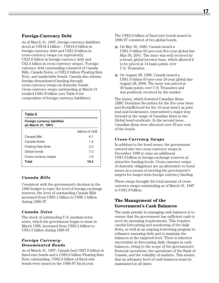# **Foreign-Currency Debt**

As of March 31, 1997, foreign-currency liabilities stood at US\$18.4 billion – US\$16.6 billion in foreign-currency debt and US\$1.8 billion in cross-currency swaps (or equivalently, C\$23.0 billion in foreign-currency debt and C\$2.4 billion in cross-currency swaps). Foreigncurrency debt outstanding consisted of Canada Bills, Canada Notes, a US\$2.0 billion Floating Rate Note, and marketable bonds. Canada also obtains foreign-denominated funding through cross-currency swaps on domestic bonds. Cross-currency swaps outstanding at March 31 totalled US\$1.8 billion (see Table 6 for composition of foreign currency liabilities).

| Table 6                                             |                  |
|-----------------------------------------------------|------------------|
| Foreign currency liabilities<br>(at March 31, 1997) |                  |
|                                                     | billions of US\$ |
| Canada Bills                                        | 6.1              |
| Canada Notes                                        | 1.5              |
| <b>Floating Rate Note</b>                           | 2.0              |
| Global bonds                                        | 7.0              |
| Cross-currency swaps                                | 1.8              |
| Total                                               | 18.4             |

# *Canada Bills*

Consistent with the government's decision in the 1996 budget to raise the level of foreign exchange reserves, the level of outstanding Canada Bills increased from US\$5.1 billion to US\$6.1 billion during 1996-97.

#### *Canada Notes*

The stock of outstanding U.S. medium-term notes, which the government began to issue in March 1996, increased from US\$0.2 billion to US\$1.5 billion during 1996-97.

## *Foreign Currency-Denominated Bonds*

As of March 31, 1997, Canada had US\$7.0 billion in fixed-rate bonds and a US\$2.0 billion Floating Rate Note outstanding. US\$2.0 billion of fixed-rate bonds were issued in the 1996-97 fiscal year.

The US\$2.0 billion of fixed-rate bonds issued in 1996-97 consisted of two global bonds.

- On May 30, 1996, Canada issued a US\$1.0 billion 61 ⁄2-per-cent five-year global due May 30, 2001. The issue was well received by a broad, global investor base, which allowed it to be priced at 14 basis points over U.S. Treasuries.
- On August 28, 1996, Canada issued a US\$1.0 billion 63 ⁄4-per-cent 10-year global due August 28, 2006. The issue was priced at 29 basis points over U.S. Treasuries and was positively received by the market.

The issues, which featured Canadian firms (RBC Dominion Securities for the five-year issue and ScotiaMcLeod for the 10-year issue) as joint lead and bookrunner, represented a major step forward in the usage of Canadian firms in the Global bond syndicate. In the second issue, Canadian firms were allocated over 30 per cent of the bonds.

# *Cross-Currency Swaps*

In addition to the bond issues, the government entered into two cross-currency swaps in December 1996 to raise an additional US\$1.0 billion in foreign exchange reserves at attractive funding levels. Cross-currency swaps of domestic obligations are an alternative to bond issues as a means of meeting the government's targets for longer-term foreign currency funding.

These swaps brought the total amount of crosscurrency swaps outstanding as of March 31, 1997 to US\$1.8 billion.

# **The Management of the Government's Cash Balances**

The main priority in managing cash balances is to ensure that the government has sufficient cash to meet its operating requirements. This requires careful forecasting and monitoring of the daily flows, as well as an ongoing borrowing program to refinance maturing debt and to maintain the balances at the targeted level. There is inherent uncertainty in forecasting daily changes in cash balances, owing to the scope of the government's financial operations, the operations of the Bank of Canada, and the volatility of markets. This means that an adequate level of cash balances must be maintained at all times.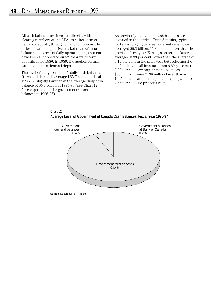All cash balances are invested directly with clearing members of the CPA, as either term or demand deposits, through an auction process. In order to earn competitive market rates of return, balances in excess of daily operating requirements have been auctioned to direct clearers as term deposits since 1986. In 1989, the auction format was extended to demand deposits.

The level of the government's daily cash balances (term and demand) averaged \$5.7 billion in fiscal 1996-97, slightly lower than the average daily cash balance of \$6.0 billion in 1995-96 (see Chart 12 for composition of the government's cash balances in 1996-97).

As previously mentioned, cash balances are invested in the market. Term deposits, typically for terms ranging between one and seven days, averaged \$5.3 billion, \$100 million lower than the previous fiscal year. Earnings on term balances averaged 3.89 per cent, lower than the average of 6.19 per cent in the prior year but reflecting the decline in the call loan rate from 6.60 per cent to 3.92 per cent. Average demand balances, at \$365 million, were \$198 million lower than in 1995-96 and earned 2.99 per cent (compared to 4.66 per cent the previous year).



Chart 12 **Average Level of Government of Canada Cash Balances, Fiscal Year 1996-97**

**Source:** Department of Finance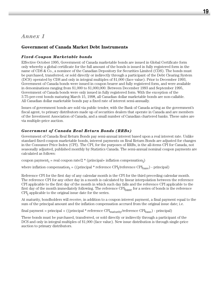# *Annex 1*

# **Government of Canada Market Debt Instruments**

# *Fixed-Coupon Marketable bonds*

Effective October 1995, Government of Canada marketable bonds are issued in Global Certificate form only whereby a global certificate for the full amount of the bonds is issued in fully registered form in the name of CDS & Co., a nominee of the Canadian Depository for Securities Limited (CDS). The bonds must be purchased, transferred, or sold directly or indirectly through a participant of the Debt Clearing System (DCS) operated by CDS and only in integral multiples of \$1,000 (face value). Prior to December 1993, Government of Canada bonds were issued in coupon bearer and fully registered form, and were available in denominations ranging from \$1,000 to \$1,000,000. Between December 1993 and September 1995, Government of Canada bonds were only issued in fully registered form. With the exception of the 3.75-per-cent bonds maturing March 15, 1998, all Canadian dollar marketable bonds are non-callable. All Canadian dollar marketable bonds pay a fixed rate of interest semi-annually.

Issues of government bonds are sold via public tender, with the Bank of Canada acting as the government's fiscal agent, to primary distributors made up of securities dealers that operate in Canada and are members of the Investment Association of Canada, and a small number of Canadian chartered banks. These sales are via multiple-price auction.

# *Government of Canada Real Return Bonds (RRBs)*

Government of Canada Real Return Bonds pay semi-annual interest based upon a real interest rate. Unlike standard fixed-coupon marketable bonds, interest payments on Real Return Bonds are adjusted for changes in the Consumer Price Index (CPI). The CPI, for the purposes of RRBs, is the all-items CPI for Canada, not seasonally adjusted, published monthly by Statistics Canada. The semi-annual nominal coupon payments are calculated as follows:

 $\text{coupon payment}_\text{i} = \text{real coupon rate/}2 * (\text{principal+ inflation compensation}_\text{i})$ 

where inflation compensation<sub>i</sub> = ((principal  $*$  reference CPI<sub>i</sub>/reference CPI<sub>base</sub>) - principal)

Reference CPI for the first day of any calendar month is the CPI for the third preceding calendar month. The reference CPI for any other day in a month is calculated by linear interpolation between the reference CPI applicable to the first day of the month in which such day falls and the reference CPI applicable to the first day of the month immediately following. The reference CPI<sub>base</sub> for a series of bonds is the reference  $\text{CPI}_i$  applicable to the original issue date for the series.

At maturity, bondholders will receive, in addition to a coupon interest payment, a final payment equal to the sum of the principal amount and the inflation compensation accrued from the original issue date; i.e.

 $final\ payment = principal + ((principal * reference\ CPU_{maturity}/reference\ CPU_{base})$  -  $principal)$ 

These bonds must be purchased, transferred, or sold directly or indirectly through a participant of the DCS and only in integral multiples of \$1,000 (face value). New issue distribution is through single-price auction to primary distributors.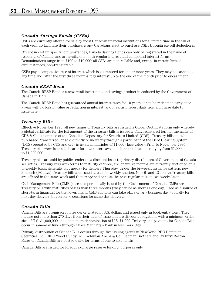### *Canada Savings Bonds (CSBs)*

CSBs are currently offered for sale by most Canadian financial institutions for a limited time in the fall of each year. To facilitate their purchase, many Canadians elect to purchase CSBs through payroll deductions.

Except in certain specific circumstances, Canada Savings Bonds can only be registered in the name of residents of Canada, and are available in both regular interest and compound interest forms. Denominations range from \$100 to \$10,000; all CSBs are non-callable and, except in certain limited circumstances, non-transferable.

CSBs pay a competitive rate of interest which is guaranteed for one or more years. They may be cashed at any time and, after the first three months, pay interest up to the end of the month prior to encashment.

# *Canada RRSP Bond*

The Canada RRSP Bond is a new retail investment and savings product introduced by the Government of Canada in 1997.

The Canada RRSP Bond has guaranteed annual interest rates for 10 years; it can be redeemed early once a year with no loss in value or reduction in interest; and it earns interest daily from purchase date to issue date.

# *Treasury Bills*

Effective November 1995, all new issues of Treasury bills are issued is Global Certificate form only whereby a global certificate for the full amount of the Treasury bills is issued in fully registered form in the name of CDS & Co., a nominee of the Canadian Depository for Securities Limited (CDS). Treasury bills must be purchased, transferred, or sold directly or indirectly through a participant of the Debt Clearing System (DCS) operated by CDS and only in integral multiples of \$1,000 (face value). Prior to November 1995, Treasury bills were issued in bearer form, and were available in denominations ranging from \$1,000 to \$1,000,000.

Treasury bills are sold by public tender on a discount basis to primary distributors of Government of Canada securities. Treasury bills with terms to maturity of three, six, or twelve months are currently auctioned on a bi-weekly basis, generally on Tuesday for delivery Thursday. Under the bi-weekly issuance pattern, new 3-month (98 days) Treasury bills are issued at each bi-weekly auction. New 6- and 12-month Treasury bills are offered in the same week and then reopened once at the next regular auction two weeks later.

Cash Management Bills (CMBs) are also periodically issued by the Government of Canada. CMBs are Treasury bills with maturities of less than three months (they can be as short as one day) used as a source of short-term financing for the government. CMB auctions can take place on any business day, typically for next-day delivery, but on some occasions for same-day delivery.

# *Canada Bills*

Canada Bills are promissory notes denominated in U.S. dollars and issued only in book-entry form. They mature not more than 270 days from their date of issue and are discount obligations with a minimum order size of U.S. \$1,000,000 and a minimum denomination of U.S. \$1,000. Delivery and payment for Canada Bills occur in same-day funds through Chase Manhattan Bank in New York City.

Primary distribution of Canada Bills occurs through five issuing agents in New York: RBC Dominion Securities Inc., CIBC Wood Gundy Inc., Goldman, Sachs & Co., Lehman Brothers and CS First Boston. Rates on Canada Bills are posted daily, for terms of one to six months.

Canada Bills are issued for foreign exchange reserve funding purposes only.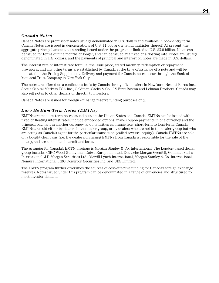#### *Canada Notes*

Canada Notes are promissory notes usually denominated in U.S. dollars and available in book-entry form. Canada Notes are issued in denominations of U.S. \$1,000 and integral multiples thereof. At present, the aggregate principal amount outstanding issued under the program is limited to U.S. \$3.0 billion. Notes can be issued for terms of nine months or longer, and can be issued at a fixed or a floating rate. Notes are usually denominated in U.S. dollars, and the payments of principal and interest on notes are made in U.S. dollars.

The interest rate or interest rate formula, the issue price, stated maturity, redemption or repayment provisions, and any other terms are established by Canada at the time of issuance of a note and will be indicated in the Pricing Supplement. Delivery and payment for Canada notes occur through the Bank of Montreal Trust Company in New York City.

The notes are offered on a continuous basis by Canada through five dealers in New York: Nesbitt Burns Inc., Scotia Capital Markets USA Inc., Goldman, Sachs & Co., CS First Boston and Lehman Brothers. Canada may also sell notes to other dealers or directly to investors.

Canada Notes are issued for foreign exchange reserve funding purposes only.

#### *Euro Medium-Term Notes (EMTNs)*

EMTNs are medium-term notes issued outside the United States and Canada. EMTNs can be issued with fixed or floating interest rates, include embedded options, make coupon payments in one currency and the principal payment in another currency, and maturities can range from short-term to long-term. Canada EMTNs are sold either by dealers in the dealer group, or by dealers who are not in the dealer group but who are acting as Canada's agent for the particular transaction (called reverse inquiry). Canada EMTNs are sold on a bought-deal basis (i.e. the dealer purchasing EMTNs from Canada is responsible for the sale of the notes), and are sold on an intermittent basis.

The Arranger for Canada's EMTN program is Morgan Stanley & Co. International. The London-based dealer group includes CIBC Wood Gundy Inc., Daiwa Europe Limited, Deutsche Morgan Grenfell, Goldman Sachs International, J.P. Morgan Securities Ltd., Merrill Lynch International, Morgan Stanley & Co. International, Nomura International, RBC Dominion Securities Inc. and UBS Limited.

The EMTN program further diversifies the sources of cost-effective funding for Canada's foreign exchange reserves. Notes issued under this program can be denominated in a range of currencies and structured to meet investor demand.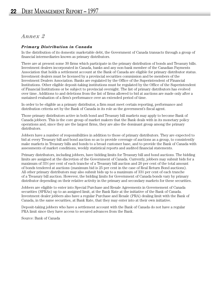# *Annex 2*

# *Primary Distribution in Canada*

In the distribution of its domestic marketable debt, the Government of Canada transacts through a group of financial intermediaries known as primary distributors.

There are at present some 30 firms which participate in the primary distribution of bonds and Treasury bills. Investment dealers incorporated in Canada, banks and any non-bank member of the Canadian Payments Association that holds a settlement account at the Bank of Canada are eligible for primary distributor status. Investment dealers must be licensed by a provincial securities commission and be members of the Investment Dealers Association. Banks are regulated by the Office of the Superintendent of Financial Institutions. Other eligible deposit-taking institutions must be regulated by the Office of the Superintendent of Financial Institutions or be subject to provincial oversight. The list of primary distributors has evolved over time. Additions to and deletions from the list of firms allowed to bid at auctions are made only after a sustained evaluation of a firm's performance over an extended period of time.

In order to be eligible as a primary distributor, a firm must meet certain reporting, performance and distribution criteria set by the Bank of Canada in its role as the government's fiscal agent.

Those primary distributors active in both bond and Treasury bill markets may apply to become Bank of Canada jobbers. This is the core group of market makers that the Bank deals with in its monetary policy operations and, since they are the largest firms, they are also the dominant group among the primary distributors.

Jobbers have a number of responsibilities in addition to those of primary distributors. They are expected to bid at every Treasury bill and bond auction so as to provide coverage of auctions as a group, to consistently make markets in Treasury bills and bonds to a broad customer base, and to provide the Bank of Canada with assessments of market conditions, weekly statistical reports and audited financial statements.

Primary distributors, including jobbers, have bidding limits for Treasury bill and bond auctions. The bidding limits are assigned at the discretion of the Government of Canada. Currently, jobbers may submit bids for a maximum of 331 ⁄3 per cent of each tranche of a Treasury bill auction and 20 per cent of the total amount of bonds tendered at auctions (maximum bid is 25 per cent in the case of Real Return Bond auctions). All other primary distributors may also submit bids up to a maximum of 33½ per cent of each tranche of a Treasury bill auction. However, the bidding limits for Government of Canada bonds vary by primary distributor depending on their relative activity in the primary and secondary markets for these securities.

Jobbers are eligible to enter into Special Purchase and Resale Agreements in Governement of Canada securities (SPRAs) up to an assigned limit, at the Bank Rate at the initiative of the Bank of Canada. Investment dealer jobbers also have a regular Purchase and Resale (PRA) dealing limit with the Bank of Canada, in the same securities, at Bank Rate, that they may enter into at their own initiative.

Deposit-taking jobbers who have a settlement account with the Bank of Canada do not have a regular PRA limit since they have access to secured advances from the Bank.

Source: Bank of Canada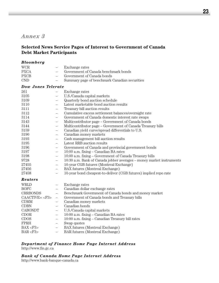# *Annex 3*

# **Selected News Service Pages of Interest to Government of Canada Debt Market Participants**

| Bloomberg                 |                          |                                                                      |
|---------------------------|--------------------------|----------------------------------------------------------------------|
| <b>WCR</b>                | $\overline{\phantom{0}}$ | Exchange rates                                                       |
| <b>PXCA</b>               |                          | Government of Canada benchmark bonds                                 |
| <b>PXCB</b>               |                          | Government of Canada bonds                                           |
| <b>CND</b>                |                          | Summary page of benchmark Canadian securities                        |
| <b>Dow Jones Telerate</b> |                          |                                                                      |
| 261                       |                          | Exchange rates                                                       |
| 3105                      | $=$                      | U.S./Canada capital markets                                          |
| 3109                      | $\qquad \qquad -$        | Quarterly bond auction schedule                                      |
| 3110                      | $\qquad \qquad -$        | Latest marketable bond auction results                               |
| 3111                      | $\qquad \qquad -$        | Treasury bill auction results                                        |
| 3112                      | $\equiv$                 | Cumulative excess settlement balances/overnight rate                 |
| 3114                      |                          | Government of Canada domestic interest rate swaps                    |
| 3143                      | $\qquad \qquad -$        | Multicontributor page – Government of Canada bonds                   |
| 3144                      | $\overline{\phantom{0}}$ | Multicontributor page – Government of Canada Treasury bills          |
| 3159                      | $\qquad \qquad -$        | Canadian yield curve/spread differentials to U.S.                    |
| 3190                      | $\qquad \qquad -$        | Canadian money markets                                               |
| 3193                      | $\equiv$                 | Cash management bill auction results                                 |
| 3195                      |                          | Latest RRB auction results                                           |
| 3196                      | $\overline{\phantom{0}}$ | Government of Canada and provincial government bonds                 |
| 3197                      | $\qquad \qquad -$        | 10:00 a.m. fixing – Canadian BA rates                                |
| 3198                      | $\qquad \qquad$          | 10:00 a.m. fixing - Government of Canada Treasury bills              |
| 9728                      | $\equiv$                 | 10:30 a.m. Bank of Canada jobber averages - money market instruments |
| 27455                     | $\overline{\phantom{0}}$ | 10-year CGB futures (Montreal Exchange)                              |
| 27456                     |                          | BAX futures (Montreal Exchange)                                      |
| 27458                     |                          | 10-year bond cheapest-to-deliver (CGB futures) implied repo rate     |
| Reuters                   |                          |                                                                      |
| <b>WRLD</b>               |                          | Exchange rates                                                       |
| <b>BOFC</b>               | $\qquad \qquad -$        | Canadian dollar exchange rates                                       |
| <b>CRRBONDS</b>           | $\qquad \qquad -$        | Benchmark Government of Canada bonds and money market                |
| $CAACTIVE = F3$           | $\qquad \qquad -$        | Government of Canada bonds and Treasury bills                        |
| <b>CDMM</b>               |                          | Canadian money markets                                               |
| <b>CDBN</b>               | $\equiv$                 | Canadian bonds                                                       |
| <b>CABONDT</b>            | $\overline{\phantom{0}}$ | U.S./Canada capital markets                                          |
| CDOR                      | $\overline{\phantom{m}}$ | 10:00 a.m. fixing - Canadian BA rates                                |
| CDOS                      | $\qquad \qquad -$        | 10:00 a.m. fixing - Canadian Treasury bill rates                     |
| FPRH                      | $\qquad \qquad -$        | Swap quotes                                                          |
| BAX < F3                  | $\qquad \qquad -$        | BAX futures (Montreal Exchange)                                      |
| BAR < F3                  | $\overline{\phantom{0}}$ | BAR futures (Montreal Exchange)                                      |

#### *Department of Finance Home Page Internet Address* http://www.fin.gc.ca

*Bank of Canada Home Page Internet Address*

http://www.bank-banque-canada.ca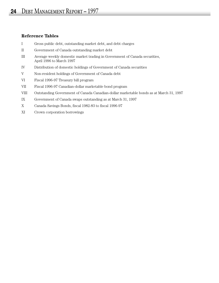## **Reference Tables**

- I Gross public debt, outstanding market debt, and debt charges
- II Government of Canada outstanding market debt
- III Average weekly domestic market trading in Government of Canada securities, April 1996 to March 1997
- IV Distribution of domestic holdings of Government of Canada securities
- V Non-resident holdings of Government of Canada debt
- VI Fiscal 1996-97 Treasury bill program
- VII Fiscal 1996-97 Canadian-dollar marketable bond program
- VIII Outstanding Government of Canada Canadian-dollar marketable bonds as at March 31, 1997
- IX Government of Canada swaps outstanding as at March 31, 1997
- X Canada Savings Bonds, fiscal 1982-83 to fiscal 1996-97
- XI Crown corporation borrowings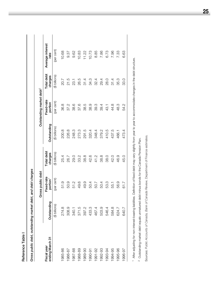| c |
|---|
|   |
|   |
|   |
|   |
|   |
|   |
|   |
|   |
|   |

 $\mathbf{I}$ 

Gross public debt, outstanding market debt, and debt charges *Gross public debt, outstanding market debt, and debt charges*

|                                |                | Gross public debt                  |                       |               | Outstanding market debt <sup>2</sup> |                       |                          |  |
|--------------------------------|----------------|------------------------------------|-----------------------|---------------|--------------------------------------|-----------------------|--------------------------|--|
| ending March 31<br>Fiscal year | Outstanding    | Fixed-rate<br>portion <sup>1</sup> | Total debt<br>charges | Outstanding   | Fixed-rate<br>portion                | Total debt<br>charges | Average interest<br>rate |  |
|                                | (\$ billions)  | (per cent)                         | (\$ billions)         | (\$ billions) | (per cent)                           | (\$ billions)         | (per cent)               |  |
| 1985-86                        | 274.8          | 51.9                               | 25.4                  | 200.8         | 36.8                                 | 20.7                  | 10.68                    |  |
| 1986-87                        | 308.9          | 50.9                               | 26.7                  | 226.8         | 37.2                                 | 21.5                  | 9.37                     |  |
| 1987-88                        | 340.1          | 51.2                               | <b>29.0</b>           | 248.3         | 38.6                                 | 23.1                  | 9.62                     |  |
| 1988-89                        | 371.5<br>397.2 | 49.6                               | 33.2                  | 273.3         | 37.6                                 | 26.5                  | 10.83                    |  |
| 1989-90                        |                | 49.9                               | 38.8                  | 291.5         | 38.5                                 | 31.4                  | 11.22                    |  |
| 1990-91                        | 433.3          | 50.4                               | 42.6                  | 320.4         | 38.9                                 | 34.3                  | 10.73                    |  |
| 1991-92                        | 467.4          | 50.7                               | 41.2                  | 348.4         | 39.3                                 | 32.4                  | 8.85                     |  |
| 1992-93                        | 503.9          | 50.4                               | 38.8                  | 379.2         | 39.4                                 | 29.4                  | 7.86                     |  |
| 1993-94                        | 546.4          | 53.3                               | 38.0                  | 410.5         | 43.1                                 | 28.0                  | 6.73                     |  |
| 1994-95                        | 584.8          | 55.1                               | 42.0                  | 437.5         | 44.8                                 | 31.4                  | 7.96                     |  |
| 1995-96                        | 624.7          | 56.9                               | 46.9                  | 466.1         | 48.3                                 | 35.3                  | 7.33                     |  |
| 1996-97                        | 640.7          | 61.7                               | 45.0                  | 473.4         | 54.2                                 | 33.0                  | 6.63                     |  |
|                                |                |                                    |                       |               |                                      |                       |                          |  |

1 After adjusting for non-interest-bearing liabilities. Definition of fixed debt may vary slightly from year to year to accommodate changes in the debt structure. After adjusting for non-interest-bearing liabilities. Definition of fixed debt may vary slightly from year to year to accommodate changes in the debt structure.

l,

<sup>2</sup> Outstanding market debt equals unmatured debt minus bonds for the Canada Pension Plan. Outstanding market debt equals unmatured debt minus bonds for the Canada Pension Plan.

Sources: Public Accounts of Canada, Bank of Canada Review, Department of Finance estimates. Sources: *Public Accounts of Canada, Bank of Canada Review*, Department of Finance estimates.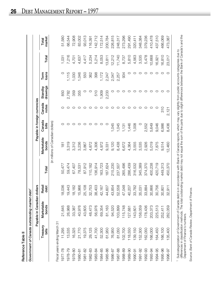| ľ      |
|--------|
|        |
|        |
|        |
| Ç<br>ļ |
|        |
|        |
|        |
|        |

| i |
|---|
|   |
| Ì |

|         |                              | Government of Canada outstanding market debt <sup>1</sup><br>Payable in Canadian d | ollars                     |         |                                   | Payable in foreign currencies |                 |                     |               |        |                 |
|---------|------------------------------|------------------------------------------------------------------------------------|----------------------------|---------|-----------------------------------|-------------------------------|-----------------|---------------------|---------------|--------|-----------------|
|         | Treasury<br>bills            | Marketable<br>bonds                                                                | Retail<br>debt             | Total   | Marketable<br>bonds               | Canada<br>bills               | Canada<br>notes | drawings<br>Standby | loans<br>Term | Total  | market<br>Total |
|         |                              |                                                                                    |                            |         | (in millions of Canadian dollars) |                               |                 |                     |               |        |                 |
|         | Fiscal years ending March 31 |                                                                                    |                            |         |                                   |                               |                 |                     |               |        |                 |
| 1977-78 | 11,295                       | 21,645                                                                             | ,036<br>$\frac{\infty}{1}$ | 50,477  | 181                               | O                             |                 | 850                 | O             | 1,031  | 51,580          |
| 1978-79 | 13,535                       | 26,988                                                                             | ,443<br>ဂ္                 | 59,474  | 3,319                             | O                             | O               | 2,782               | 1,115         | 7,216  | 66,544          |
| 1979-80 | 16,325                       | 33,387                                                                             | 18,182                     | 67,407  | 3,312                             | O                             | O               | 359                 | 1,030         | 4,701  | 72,908          |
| 1980-81 | 21,770                       | 40,976                                                                             | ,966<br>$\frac{5}{1}$      | 78,531  | 3,236                             | O                             | O               | 355                 | 1,046         | 4,637  | 83,002          |
| 1981-82 | 19,375                       | 43,605                                                                             | ,108<br>25                 | 87,912  | 3,867                             | O                             |                 | O                   | 550           | 4,417  | 93,013          |
| 1982-83 | 29,125                       | 48,473                                                                             | .,753<br>32                | 110,182 | 4,872                             | O                             | O               | O                   | 362           | 5,234  | 116,391         |
| 1983-84 | 41,700                       | 56,976                                                                             | ,403<br>88                 | 136,914 | 4,306                             | O                             | O               | 510                 | 398           | 5,214  | 142,712         |
| 1984-85 | 52,300                       | 69,354                                                                             | 2,167<br>$\frac{1}{4}$     | 163,723 | 4,972                             | O                             | O               | 1,909               | 1,172         | 8,053  | 172,514         |
| 1985-86 | 61,950                       | 81,163                                                                             | 502<br>$\overline{4}$      | 187,624 | 9,331                             | O                             | O               | 2,233               | 2,247         | 13,811 | 200,784         |
| 1986-87 | 76,950                       | 94,520                                                                             | 854<br>$\frac{3}{4}$       | 215,230 | 9,120                             | 1,045                         | O               | O                   | 2,047         | 12,212 | 226,815         |
| 1987-88 | 81,050                       | 103,899                                                                            | ,558<br>52                 | 237,507 | 8,438                             | 1,045                         | O               | O                   | 2,257         | 11,740 | 248,317         |
| 1988-89 | 102,700                      | 115,748                                                                            | 048<br>47                  | 265,496 | 6,672                             | 1,131                         | O               | O                   | 934           | 8,737  | 273,296         |
| 1989-90 | 118,550                      | 127,681                                                                            | 207<br>$\triangleq$        | 286,439 | 4,364                             | 1,446                         | O               | O                   | O             | 5,810  | 291,490         |
| 1990-91 | 139,150                      | 143,601                                                                            | ,782<br>က္လ                | 316,532 | 3,555                             | 1,008                         | O               | O                   | O             | 4,563  | 320,411         |
| 1991-92 | 152,300                      | 58,059                                                                             | 0.031<br>85                | 345,389 | 3,535                             | O                             | O               | O                   | O             | 3,535  | 348,384         |
| 1992-93 | 162,050                      | 178,436                                                                            | 884<br>33                  | 374,370 | 2,926                             | 2,552                         | O               | O                   | O             | 5,478  | 379,236         |
| 1993-94 | 66,000                       | 203,373                                                                            | 866<br>8                   | 400,238 | 5,019                             | 5,649                         | O               | O                   | O             | 10,668 | 410,478         |
| 1994-95 | 164,450                      | 225,513                                                                            | 756<br><u>င</u> ္က         | 420,719 | 7,875                             | 9,046                         | O               | O                   | O             | 16,921 | 437,510         |
| 1995-96 | 166,100                      | 252,411                                                                            | ,801<br><u>င</u> ္လ        | 449,313 | 9,514                             | 6,986                         | 310             | O                   | O             | 16,810 | 466,069         |
| 1996-97 | 135,400                      | 282,059                                                                            | $-5.0$<br>SS               | 450,370 | 12,460                            | 8,436                         | 2,121           | C                   | $\circ$       | 23,017 | 473,387         |
|         |                              |                                                                                    |                            |         |                                   |                               |                 |                     |               |        |                 |

1 Subcategorization of Government of Canada debt is in accordance with Bank of Canada reports, which may vary slightly from public accounts categories due to<br>differences in classification methods. The total outstanding mar Subcategorization of Government of Canada debt is in accordance with Bank of Canada reports, which may vary slightly from public accounts categories due to differences in classification methods. The total outstanding market debt may not equal the sum of the parts due to slight differences between the Bank of Canada's and the Department of Finance's numbers.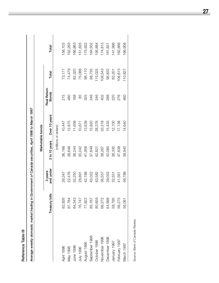Reference Table III **Reference Table III**

Average weekly domestic market trading in Government of Canada securities, April 1996 to March 1997 *Average weekly domestic market trading in Government of Canada securities, April 1996 to March 1997*

|                |                |                      | Marketable bonds |                       |                             |         |         |
|----------------|----------------|----------------------|------------------|-----------------------|-----------------------------|---------|---------|
|                | Treasury bills | and under<br>3 years | 3 to 10 years    | Over 10 years         | Real Return<br><b>Bonds</b> | Total   | Total   |
|                |                |                      |                  | (millions of dollars) |                             |         |         |
| April 1996     | 82,926         | 26,347               | 36,168           | 10,447                | 215                         | 73,177  | 156,103 |
| Vlay 1996      | 87,784         | 22,476               | 38,648           | 12,875                | 480                         | 74,479  | 162,263 |
| June 1996      | 84,543         | 32,250               | 38,244           | 11,658                | 168                         | 82,320  | 166,863 |
| July 1996      | 76,747         | 28,891               | 35,242           | 10,871                | 85                          | 75,088  | 151,835 |
| August 1996    | 77,822         | 42,188               | 41,958           | 13,639                | 325                         | 98,110  | 175,932 |
| September 1996 | 85,767         | 45,022               | 37,649           | 15,820                | 246                         | 98,735  | 184,502 |
| October 1996   | 80,859         | 43,582               | 42,821           | 28,376                | 246                         | 115,025 | 195,884 |
| November 1996  | 66,272         | 36,557               | 38,267           | 33,318                | 402                         | 108,543 | 174,815 |
| December 1996  | 64,999         | 39,052               | 42,060           | 15,433                | 288                         | 96,832  | 161,831 |
| January 1997   | 58,795         | 32,551               | 38,330           | 12,100                | 220                         | 83,201  | 141,996 |
| February 1997  | 56,275         | 41,561               | 47,638           | 17,138                | 276                         | 106,613 | 162,888 |
| March 1997     | 56,081         | 56,788               | 38,940           | 14,640                | 460                         | 110,827 | 166,908 |
|                |                |                      |                  |                       |                             |         |         |

Source: Bank of Canada Review. Source: *Bank of Canada Review.*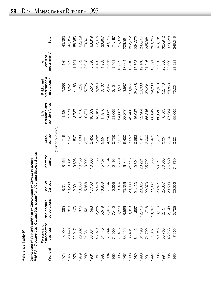| c |
|---|
|   |
|   |
|   |
| ŗ |
|   |
|   |
|   |
|   |

|          | Reference Table IV                                                                                                  |                               |                   |                             |                       |                                        |                                                            |                                           |         |
|----------|---------------------------------------------------------------------------------------------------------------------|-------------------------------|-------------------|-----------------------------|-----------------------|----------------------------------------|------------------------------------------------------------|-------------------------------------------|---------|
|          | Distribution of domestic holdings of Government of Canada securities<br>PART A - Treasury bills, Canada bills, bond |                               |                   | s' and Canada Savings Bonds |                       |                                        |                                                            |                                           |         |
| Year end | unincorporated<br>Persons and<br>business                                                                           | Non-financial<br>corporations | Bank of<br>Canada | Chartered<br>banks          | $banks^2$<br>Quasi    | pension funds<br>insurance and<br>فانا | other financial<br>institutions <sup>3</sup><br>Public and | government <sup>4</sup><br>levels of<br>₹ | Total   |
|          |                                                                                                                     |                               |                   |                             | (millions of dollars) |                                        |                                                            |                                           |         |
| 1976     | 18,009                                                                                                              | 395                           | 8,331             | 8,666                       | 716                   | 1,436                                  | 2,388                                                      | 439                                       | 40,380  |
| 1977     | 20,440                                                                                                              | 336                           | 10,268            | 9,601                       | ,048                  | 2,271                                  | 3,241                                                      | 709                                       | 47,914  |
| 1978     | 22,917                                                                                                              | 403                           | 2,001             | 9,896                       | 1,537                 | 3,737                                  | 4,160                                                      | 1,401                                     | 56,053  |
| 1979     | 23,302                                                                                                              | 376                           | 13,656            | 10,156                      | 1,684                 | 6,716                                  | 4,267                                                      | 2,572                                     | 62,729  |
| 1980     | 24,861                                                                                                              | 561                           | 5,858             | 10,002                      | 2,771                 | 9,274                                  | 5,726                                                      | 3,948                                     | 73,001  |
| 1981     | 33,684                                                                                                              | 598                           | 17,100            | 10,003                      | 2,452                 | 10,569                                 | 5,515                                                      | 3,898                                     | 83,819  |
| 1982     | 43,979                                                                                                              | 2,255                         | 15,428            | 11,233                      | 3,288                 | 13,151                                 | 8,843                                                      | 4,139                                     | 102,316 |
| 1983     | 51,440                                                                                                              | 5,518                         | 16,859            | 15,107                      | 5,551                 | 17,816                                 | 10,167                                                     | 4,399                                     | 126,857 |
| 1984     | 61,244                                                                                                              | 7,006                         | 17,184            | 15,164                      | 4,887                 | 24,039                                 | 12,057                                                     | 6,575                                     | 148,156 |
| 1985     | 74,609                                                                                                              | 7,413                         | 15,668            | 15,198                      | 5,706                 | 31,068                                 | 15,134                                                     | 9,701                                     | 174,497 |
| 1986     | 71,415                                                                                                              | 6,270                         | 18,374            | 17,779                      | 7,277                 | 34,887                                 | 18,501                                                     | 10,869                                    | 185,372 |
| 1987     | 83,156                                                                                                              | 8,586                         | 20,366            | 16,012                      | 6,400                 | 38,870                                 | 19,587                                                     | 13,604                                    | 206,581 |
| 1988     | 85,401                                                                                                              | 8,983                         | 20,606            | 21,115                      | 7,657                 | 42,460                                 | 19,677                                                     | 16,813                                    | 222,712 |
| 1989     | 84,112                                                                                                              | 11,587                        | 21,133            | 19,804                      | 9,853                 | 46,037                                 | 24,448                                                     | 17,398                                    | 234,372 |
| 1990     | 81,198                                                                                                              | 12,456                        | 20,325            | 23,224                      | 10,413                | 52,984                                 | 26,038                                                     | 19,146                                    | 245,784 |
| 1991     | 74,709                                                                                                              | 11,718                        | 22,370            | 35,792                      | 12,069                | 55,846                                 | 32,234                                                     | 21,246                                    | 265,984 |
| 1992     | 74,627                                                                                                              | 13,787                        | 22,607            | 44,555                      | 12,440                | 60,042                                 | 39,286                                                     | 18,891                                    | 286,235 |
| 1993     | 59,943                                                                                                              | 10,473                        | 23,624            | 60,242                      | 11,073                | 69,930                                 | 44,819                                                     | 20,040                                    | 300,144 |
| 1994     | 53,763                                                                                                              | 12,154                        | 25,337            | 70,063                      | 10,051                | 78,563                                 | 52,113                                                     | 23,868                                    | 325,912 |
| 1995     | 48,238                                                                                                              | 12,148                        | 23,590            | 76,560                      | 10,900                | 87,284                                 | 58,869                                                     | 22,099                                    | 339,688 |
| 1996     | 47,365                                                                                                              | 10,758                        | 25,556            | 74,789                      | 10,521                | 88,005                                 | 70,204                                                     | 21,821                                    | 349,019 |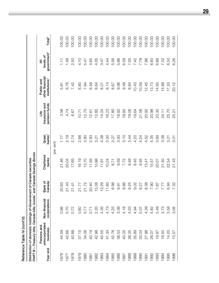| Reference Table IV (cont'd) | Distribution of domestic holdings of Government of Canada securities | PART B - Treasury bills, Canada bills, bonds <sup>1</sup> and Canada Savings Bonds |
|-----------------------------|----------------------------------------------------------------------|------------------------------------------------------------------------------------|
|                             |                                                                      |                                                                                    |

|          | PART B - Treasury bills, Canada bills, bonds |                               |                   | and Canada Savings Bonds |                    |                                        |                                                            |                                           |                    |
|----------|----------------------------------------------|-------------------------------|-------------------|--------------------------|--------------------|----------------------------------------|------------------------------------------------------------|-------------------------------------------|--------------------|
| Year end | unincorporated<br>Persons and<br>business    | corporations<br>Non-financial | Bank of<br>Canada | Chartered<br>banks       | $banks^2$<br>Quasi | insurance and<br>pension funds<br>Life | other financial<br>institutions <sup>3</sup><br>Public and | government <sup>4</sup><br>levels of<br>₹ | Total <sup>5</sup> |
|          |                                              |                               |                   |                          | (per cent)         |                                        |                                                            |                                           |                    |
| 976      | 44.59                                        | 0.98                          | 20.63             | 21.46                    |                    | 3.56                                   | 5.91                                                       | $\overline{11}$                           | 100.00             |
|          |                                              |                               |                   |                          |                    |                                        |                                                            |                                           |                    |
| 1977     | 42.66                                        | 0.70                          | 21.43             | 20.04                    | 2.19               | 4.74                                   | 6.76                                                       | 1.48                                      | 100.00             |
| 1978     | 40.88                                        | 0.72                          | 21.41             | 17.65                    | 2.74               | 6.67                                   | 7.42                                                       | 2.50                                      | 100.00             |
| 1979     | 37.15                                        | 0.60                          | 21.77             | 16.19                    | 2.68               | 10.71                                  | 6.80                                                       | 4.10                                      | 100.00             |
| 1980     | 34.06                                        | 0.77                          | 21.72             | 13.70                    | 3.80               | 12.70                                  | 7.84                                                       | 5.41                                      | 100.00             |
| 1981     | 40.19                                        | 0.71                          | 20.40             | 11.93                    | 2.93               | 12.61                                  | 6.58                                                       | 4.65                                      | 100.00             |
| 1982     | 42.98                                        | 2.20                          | 15.08             | 10.98                    | 3.21               | 12.85                                  | 8.64                                                       | 4.05                                      | 100.00             |
| 1983     | 40.55                                        | 4.35                          | 13.29             | 11.91                    | 4.38               | 14.04                                  | 8.01                                                       | 3.47                                      | 100.00             |
| 1984     | 41.34                                        | 4.73                          | 11.60             | 10.24                    | 3.30               | 16.23                                  | 8.14                                                       | 4.44                                      | 100.00             |
| 1985     | 42.76                                        | 4.25                          | 8.98              | 8.71                     | 3.27               | 17.80                                  | 8.67                                                       | 5.56                                      | 100.00             |
| 1986     | 38.53                                        | 3.38                          | 9.91              | 9.59                     | 3.93               | 18.82                                  | 9.98                                                       | 5.86                                      | 100.00             |
| 1987     | 40.25                                        | 4.16                          | 9.86              | 7.75                     | 3.10               | 18.82                                  | 9.48                                                       | 6.59                                      | 100.00             |
| 1988     | 38.35                                        | 4.03                          | 9.25              | 9.48                     | 3.44               | 19.06                                  | 8.84                                                       | 7.55                                      | 100.00             |
| 1989     | 35.89                                        | 4.94                          | 9.02              | 8.45                     | 4.20               | 19.64                                  | 10.43                                                      | 7.42                                      | 100.00             |
| 1990     | 33.04                                        | 5.07                          | 8.27              | 9.45                     | 4.24               | 21.56                                  | 10.59                                                      | 7.79                                      | 100.00             |
| 1991     | 27.98                                        | 4.39                          | 8.38              | 13.41                    | 4.52               | 20.92                                  | 12.45                                                      | 7.96                                      | 100.00             |
| 1992     | 26.07                                        | 4.82                          | <b>D.90</b>       | 15.57                    | 4.35               | 20.98                                  | 13.73                                                      | 6.60                                      | 100.00             |
| 1993     | 19.97                                        | 3.49                          | 7.87              | 20.07                    | 3.69               | 23.30                                  | 14.93                                                      | 6.68                                      | 100.00             |
| 1994     | 16.50                                        | 3.73                          | 7.77              | 21.50                    | 3.08               | 24.11                                  | 15.88                                                      | 7.32                                      | 100.00             |
| 1995     | 14.20                                        | 3.58                          | 6.94              | 22.54                    | 3.21               | 25.70                                  | 17.33                                                      | 6.50                                      | 100.00             |
| 1996     | 57<br>က                                      | $\infty$<br>က                 | 7.32              | 21.43                    | 5.01               | 25.21                                  | 20.12                                                      | 6.26                                      | 100.00             |

J.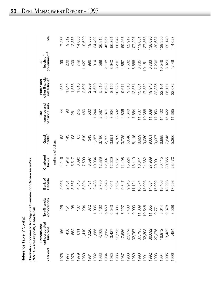| ٠ |
|---|
| ļ |
|   |
|   |
|   |
|   |
|   |
|   |
|   |
|   |
|   |
|   |
| ı |
|   |
|   |
|   |
|   |
|   |
|   |
|   |
|   |
|   |
|   |
|   |
|   |
|   |
|   |
|   |
|   |
|   |

Reference Table IV (corn u<sub>)</sub><br>Distribution of domestic holdings of Government of Canada securities<br>Distribution of domestic holdings of Government of Canada securities

|          | PART C - Treasury bills, Canada bills     |                               |                   |                       |                    |                                      |                                                            |                                           |         |
|----------|-------------------------------------------|-------------------------------|-------------------|-----------------------|--------------------|--------------------------------------|------------------------------------------------------------|-------------------------------------------|---------|
| Year end | unincorporated<br>Persons and<br>business | Non-financial<br>corporations | Canada<br>Bank of | Chartered<br>banks    | $banks^2$<br>Quasi | pension funds<br>insurance and<br>۴ü | other financial<br>institutions <sup>3</sup><br>Public and | government <sup>4</sup><br>levels of<br>₹ | Total   |
|          |                                           |                               |                   | (millions of dollars) |                    |                                      |                                                            |                                           |         |
| 976      | 156                                       | 25                            | 2,053             | 4,219                 | 52                 |                                      | 535                                                        | 8                                         | 7,283   |
| 1977     | 458                                       | 5                             | 2,461             | 4,949                 | 143                | 86                                   | 1,044                                                      | 208                                       | 9,512   |
| 978      | 652                                       | 198                           | 3,567             | 5,517                 | 193                | 261                                  | 1,588                                                      | 409                                       | 12,385  |
| 979      | $\frac{1}{8}$                             | 167                           | 4,345             | 6,690                 | 89                 | 245                                  | 1,616                                                      | 749                                       | 14,688  |
| 980      | 1,419                                     | 294                           | 5,394             | 7,500                 | 619                | 460                                  | 2,507                                                      | 1,427                                     | 19,620  |
| 987      | 1,020                                     | 372                           | 5,431             | 8,597                 | 343                | 560                                  | 2,269                                                      | 996                                       | 19,588  |
| 1982     | 1,855                                     | 1,935                         | 2,483             | 10,034                | 1,357              | .244                                 | 4,670                                                      | 914                                       | 24,492  |
| 1983     | 4,109                                     | 5,162                         | 2,780             | 12,879                | 3,180              | 2,587                                | 5,519                                                      | 599                                       | 36,815  |
| 1984     | 7,554                                     | 6,453                         | 3,548             | 12,997                | 2,792              | 3,876                                | 6,623                                                      | 2,108                                     | 45,951  |
| 1985     | 13,427                                    | 6,543                         | 4,041             | 12,629                | 3,651              | 3,934                                | 8,156                                                      | 3,940                                     | 56,321  |
| 1986     | 16,295                                    | 4,886                         | 7,967             | 15,161                | 4,709              | 3,592                                | 10,226                                                     | 3,206                                     | 66,042  |
| 1987     | 17,686                                    | 7,227                         | 9,847             | 11,498                | 3,725              | 4,806                                | 9,611                                                      | 4,867                                     | 69,267  |
| 988      | 20,174                                    | 7,433                         | 9,945             | 15,224                | 5,648              | 7,648                                | 9,313                                                      | 7,532                                     | 82,917  |
| 1989     | 32,757                                    | 9,990                         | 11,124            | 16,410                | 8,115              | 7,664                                | 12,571                                                     | 8,666                                     | 107,297 |
| 060      | 37,795                                    | 11,339                        | 10,574            | 16,841                | 8,929              | 11,737                               | 13,031                                                     | 8,785                                     | 119,031 |
| 1991     | 32,393                                    | 10,546                        | 13,093            | 24,382                | 9,080              | 10,386                               | 17,832                                                     | 10,151                                    | 127,863 |
| 992      | 36,692                                    | 11,355                        | 14,634            | 27,989                | 9,661              | 11,639                               | 19,943                                                     | 6,783                                     | 138,696 |
| 993      | 27,275                                    | 9,771                         | 17,002            | 29,901                | 9,097              | 17,050                               | 22,385                                                     | 7,206                                     | 139,687 |
| 994      | 16,972                                    | 8,614                         | 19,408            | 30,415                | 6,898              | 14,402                               | 22,101                                                     | 10,546                                    | 129,356 |
| 1995     | 13,432                                    | 9,378                         | 18,298            | 30,865                | 7,645              | 15,422                               | 25,171                                                     | 8,929                                     | 129,140 |
| 1996     | 11,484                                    | 8,508                         | 17,593            | 23,470                | 5,366              | 11,385                               | 32,672                                                     | 4,149                                     | 114,627 |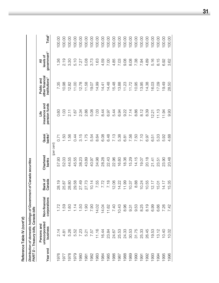**Reference Table IV** *(cont'd***)**

Reference Table IV (cont'd)<br>Distribution of domestic holdings of Government of Canada securities<br>PART D – Treasury bills, Canada bills *Distribution of domestic holdings of Government of Canada securities*

 $\overline{a}$  $\overline{a}$ 

|          | PART D – Treasury bills, Canada bills     |                               |                   |                    |                    |                                         |                                                            |                                           |                    |
|----------|-------------------------------------------|-------------------------------|-------------------|--------------------|--------------------|-----------------------------------------|------------------------------------------------------------|-------------------------------------------|--------------------|
| Year end | unincorporated<br>Persons and<br>business | Non-financial<br>corporations | Bank of<br>Canada | Chartered<br>banks | $banks^2$<br>Quasi | pension funds<br>insurance and<br>هٔانا | other financial<br>institutions <sup>3</sup><br>Public and | government <sup>4</sup><br>levels of<br>₹ | Total <sup>5</sup> |
|          |                                           |                               |                   | (per cent)         |                    |                                         |                                                            |                                           |                    |
| 976      | 2.14                                      | 1.72                          | 28.19             | 57.93              | 0.71               | 0.60                                    | 7.35                                                       | 1.36                                      | 100.00             |
| 1977     | 4.81                                      | 1.59                          | 25.87             | 52.03              | $-50$              | 1.03                                    | 10.98                                                      | 2.19                                      | 100.00             |
| 1978     | 5.26                                      | 1.60                          | 28.80             | 44.55              | 1.56               | 2.11                                    | 12.82                                                      | 3.30                                      | 100.00             |
| 1979     | 5.52                                      | 1.14                          | 29.58             | 45.55              | 0.44               | 1.67                                    | 1.00                                                       | 5.10                                      | 100.00             |
| 1980     | 7.23                                      | 1.50                          | 27.49             | 38.23              | 3.15               | 2.34                                    | 12.78                                                      | 7.27                                      | 100.00             |
| 1981     | 5.21                                      | 1.90                          | 27.73             | 43.89              | 1.75               | 2.86                                    | 11.58                                                      | 5.08                                      | 100.00             |
| 1982     | 7.57                                      | 7.90                          | 10.14             | 40.97              | 5.54               | 5.08                                    | 19.07                                                      | 3.73                                      | 100.00             |
| 1983     | 11.16                                     | 14.02                         | 7.55              | 34.98              | 8.64               | 7.03                                    | 14.99                                                      | 1.63                                      | 100.00             |
| 1984     | 16.44                                     | 14.04                         | 7.72              | 28.28              | 6.08               | 8.44                                    | 14.41                                                      | 4.59                                      | 100.00             |
| 1985     | 23.84                                     | 11.62                         | 7.18              | 22.43              | 6.48               | 6.97                                    | 14.48                                                      | <b>7.00</b>                               | 100.00             |
| 1986     | 24.67                                     | 7.40                          | 12.06             | 22.96              | 7.13               | 5.44                                    | 15.48                                                      | 4.85                                      | 100.00             |
| 1987     | 25.53                                     | 10.43                         | 14.22             | 16.60              | 5.38               | 6.94                                    | 13.88                                                      | 7.03                                      | 100.00             |
| 1988     | 24.33                                     | 8.96                          | 1.99              | 18.36              | 6.81               | 9.22                                    | 11.23                                                      | 9.08                                      | 100.00             |
| 1989     | 30.53                                     | 9.31                          | 10.37             | 15.29              | 7.56               | 7.14                                    | 11.72                                                      | 8.08                                      | 100.00             |
| 1990     | 31.75                                     | 9.53                          | 88.8              | 14.15              | 7.50               | 8.86                                    | 10.95                                                      | 7.38                                      | 100.00             |
| 1991     | 25.33                                     | 8.25                          | 10.24             | 19.07              | 7.10               | 8.12                                    | 13.95                                                      | 7.94                                      | 100.00             |
| 1992     | 26.45                                     | 8.19                          | 10.55             | 20.18              | 6.97               | 8.39                                    | 14.38                                                      | 4.89                                      | 100.00             |
| 1993     | 19.53                                     | 6.99                          | 12.17             | 21.41              | 6.51               | 12.21                                   | 16.03                                                      | 5.16                                      | 100.00             |
| 1994     | 13.12                                     | 6.66                          | 15.01             | 23.51              | 5.33               | 11.13                                   | 17.09                                                      | 8.15                                      | 100.00             |
| 1995     | 10.40                                     | 7.26                          | 14.17             | 23.90              | 5.92               | 11.94                                   | 19.49                                                      | 6.92                                      | 100.00             |
| 1996     | 10.02                                     | 7.42                          | 15.35             | 20.48              | 4.68               | 9.93                                    | 28.50                                                      | 3.62                                      | 100.00             |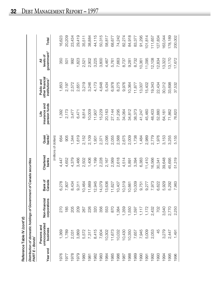| ۱ |
|---|
|   |
|   |
| ł |
| ۱ |
|   |
|   |
| Ĩ |
| ֦ |
|   |
|   |
|   |
|   |
|   |

|                                   | Reference Table IV (cont'd)                                          |                               |                   |                    |                             |                                        |                                                            |                                           |         |
|-----------------------------------|----------------------------------------------------------------------|-------------------------------|-------------------|--------------------|-----------------------------|----------------------------------------|------------------------------------------------------------|-------------------------------------------|---------|
| <b>PART E - Bonds<sup>1</sup></b> | Distribution of domestic holdings of Government of Canada securities |                               |                   |                    |                             |                                        |                                                            |                                           |         |
| Year end                          | unincorporated<br>Persons and<br>business                            | Non-financial<br>corporations | Bank of<br>Canada | Chartered<br>banks | banks <sup>2</sup><br>Quasi | pension funds<br>insurance and<br>Life | other financial<br>institutions <sup>3</sup><br>Public and | government <sup>4</sup><br>levels of<br>₹ | Total   |
|                                   |                                                                      |                               |                   |                    | (millions of dollars)       |                                        |                                                            |                                           |         |
| 1976                              | 1,369                                                                | 270                           | 6,278             | 4,447              | 664                         | 1,392                                  | 1,853                                                      | 350                                       | 16,623  |
| 1977                              | 1,789                                                                | 185                           | 7,807             | 4,652              | 905                         | 2,173                                  | 2,197                                                      | 501                                       | 20,209  |
| 1978                              | 2,031                                                                | 205                           | 8,434             | 4,379              | 1,344                       | 3,477                                  | 2,572                                                      | 992                                       | 23,434  |
| 1979                              | 3,869                                                                | 209                           | 9,311             | 3,466              | 1,619                       | 6,471                                  | 2,651                                                      | 1,823                                     | 29,419  |
| 1980                              | 5,572                                                                | 267                           | 10,464            | 2,502              | 2,152                       | 8,814                                  | 3,219                                                      | 2,521                                     | 35,511  |
| 1981                              | 7,317                                                                | 226                           | 11,669            | 1,406              | 2,109                       | 10,009                                 | 3,246                                                      | 2,902                                     | 38,884  |
| 1982                              | 8,415                                                                | 320                           | 12,945            | 1,199              | 1,931                       | 11,907                                 | 4,173                                                      | 3,225                                     | 44,115  |
| 1983                              | 7,604                                                                | 356                           | 14,079            | 2,228              | 2,371                       | 15,229                                 | 4,648                                                      | 3,800                                     | 50,315  |
| 1984                              | 10,302                                                               | 553                           | 13,636            | 2,167              | 2,095                       | 20,163                                 | 5,434                                                      | 4,467                                     | 58,817  |
| 1985                              | 11,673                                                               | 870                           | 11,627            | 2,569              | 2,055                       | 27,144                                 | 6,978                                                      | 5,761                                     | 68,677  |
| 1986                              | 10,032                                                               | ,384                          | 10,407            | 2,618              | 2,568                       | 31,295                                 | 8,275                                                      | 7,663                                     | 74,242  |
| 1987                              | 10,430                                                               | ,359                          | 10,519            | 4,514              | 2,675                       | 34,064                                 | 9,976                                                      | 8,737                                     | 82,274  |
| 1988                              | 10,350                                                               | ,550                          | 10,661            | 5,891              | 2,009                       | 34,812                                 | 10,364                                                     | 9,281                                     | 84,918  |
| 1989                              | 7,657                                                                | 1,597                         | 10,009            | 3,394              | 1,738                       | 38,373                                 | 11,877                                                     | 8,732                                     | 83,377  |
| 1990                              | 7,945                                                                | 1,117                         | 9,751             | 6,383              | 1,484                       | 41,247                                 | 13,007                                                     | 10,361                                    | 91,295  |
| 1991                              | 5,009                                                                | 1,172                         | 9,277             | 11,410             | 2,989                       | 45,460                                 | 15,402                                                     | 11,095                                    | 101,814 |
| 1992                              | 2,053                                                                | 2,432                         | 7,973             | 16,566             | 2,779                       | 48,403                                 | 19,343                                                     | 12,108                                    | 111,657 |
| 1993                              | 45                                                                   | 702                           | 6,622             | 30,341             | 1,976                       | 52,880                                 | 22,434                                                     | 12,834                                    | 127,834 |
| 1994                              | 3,279                                                                | 3,540                         | 5,929             | 39,648             | 3,153                       | 64,161                                 | 30,012                                                     | 13,322                                    | 163,044 |
| 1995                              | 2,447                                                                | 2,770                         | 5,292             | 45,695             | 3,255                       | 71,862                                 | 33,698                                                     | 13,170                                    | 178,189 |
| 1996                              | 1,491                                                                | 2,250                         | 7,963             | 51,319             | 5,155                       | 76,620                                 | 37,532                                                     | 17,672                                    | 200,002 |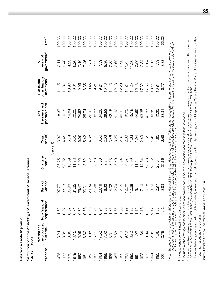Reference Table IV (cont'd) **Reference Table IV** *(cont'd***)** Distribution of domestic holdings of Government of Canada securities *Distribution of domestic holdings of Government of Canada securities* **PART F - Bonds<sup>1</sup>** *PART F – Bonds1*

| Year end | unincorporated<br>Persons and<br>business | Non-financial<br>corporations | Bank of<br>Canada | Chartered<br>banks | $banks^2$<br>Quasi | pension funds<br>insurance and<br>Life | other financial<br>institutions <sup>3</sup><br>Public and | government <sup>4</sup><br>levels of<br>₹ | Total <sup>5</sup> |
|----------|-------------------------------------------|-------------------------------|-------------------|--------------------|--------------------|----------------------------------------|------------------------------------------------------------|-------------------------------------------|--------------------|
|          |                                           |                               |                   |                    | (per cent)         |                                        |                                                            |                                           |                    |
| 976      | 24<br>ထံ                                  | 1.62                          | 37.77             | 26.75              | 3.99               | 8.37                                   | 11.15                                                      | $\frac{1}{2}$                             | 00.00              |
| 977      | 8.85                                      | 0.92                          | 38.63             | 23.02              | 4.48               | 10.75                                  | 11.87                                                      | 2.48                                      | 100.00             |
| 978      | 8.66                                      | 0.87                          | 35.99             | 18.69              | 5.74               | 14.84                                  | 10.98                                                      | 4.23                                      | 100.00             |
| 620      | 13.15                                     | 0.71                          | 31.65             | 11.78              | 5.50               | 22.00                                  | 0.5                                                        | 6.20                                      | 100.00             |
| 980      | 5.69                                      | 0.75                          | 29.47             | 7.05               | 6.06               | 24.82                                  | 9.06                                                       | 7.10                                      | 100.00             |
| 1981     | 8.82                                      | 0.58                          | 30.01             | 3.62               | 5.42               | 25.74                                  | 8.35                                                       | 7.46                                      | 100.00             |
| 1982     | 90.08                                     |                               | 29.34             | 2.72               | 4.38               | 26.99                                  | 9.46                                                       | 7.31                                      | 100.00             |
| 1983     | 15.11                                     | 0.73<br>0.71                  | 27.98             | 4.43               | 4.71               | 30.27                                  | 9.24                                                       | 7.55                                      | 100.00             |
| 1984     | 17.52                                     | 0.94                          | 23.18             | 3.68               | 3.56               | 34.28                                  | 9.24                                                       | 7.59                                      | 100.00             |
| 1985     | 17.00                                     | 1.27                          | 16.93             | 3.74               | 2.99               | 39.52                                  | 10.16                                                      | 8.39                                      | 100.00             |
| 1986     | 13.51                                     | <b>86.</b>                    | 14.02             | 3.53               | 3.46               | 42.15                                  | 11.15                                                      | 10.32                                     | 100.00             |
| 1987     | 12.68                                     | 1.65                          | 12.79             | 5.49               | 3.25               | 41.40                                  | 12.13                                                      | 10.62                                     | 100.00             |
| 1988     | 12.19                                     | $\frac{83}{5}$                | 12.55             | 6.94               | 2.37               | 40.99                                  | 12.20                                                      | 10.93                                     | 100.00             |
| 1989     | 9.18                                      | $\frac{8}{2}$                 | 12.00             | 4.07               | 2.08               | 46.02                                  | 14.24                                                      | 10.47                                     | 100.00             |
| 990      | 8.70                                      | 1.22                          | 10.68             | 6.99               | 1.63               | 45.18                                  | 14.25                                                      | 11.36                                     | 100.00             |
| 1991     | 4.92                                      | 1.15                          | $-11$             | 11.21              | 2.94               | 44.65                                  | 15.13                                                      | 10.90                                     | 100.00             |
| 1992     | 1.84                                      | 2.18                          | 7.14              | 14.84              | 2.49               | 43.35                                  | 17.32                                                      | 10.84                                     | 100.00             |
| 1993     | 0.04                                      | 0.55                          | 5.18              | 23.73              | 1.55               | 41.37                                  | 17.55                                                      | 10.04                                     | 100.00             |
| 1994     | 2.01                                      | 2.17                          | 3.64              | 24.32              | $\frac{33}{2}$     | 39.35                                  | 18.41                                                      | 8.17                                      | 100.00             |
| 995      | 1.38                                      | Ю<br>$\frac{1}{1}$            | 2.97              | 25.64              | 1.83               | 40.33                                  | 18.91                                                      | 7.39                                      | 100.00             |
| 996      | 0.75                                      | 인<br>.                        | 3.98              | 25.66              | 2.58               | 38.31                                  | 18.77                                                      | 8.83                                      | 100.00             |
|          |                                           |                               |                   |                    |                    |                                        |                                                            |                                           |                    |

Notes: Because of timing and valuation differences, the National Balance Sheet data contained in this Table are not necessarily on the same basis as other data elsewhere in this<br>publication (most of the data in this report publication (most of the data in this report is on a par value basis – that is, outstanding securities are valued at par). For this reason, although the two sets of data yield very Notes: Because of timing and valuation differences, the National Balance Sheet data contained in this Table are not necessarily on the same basis as other data elsewhere in this similar information, the data in this Table are not strictly comparable with other data in this publication.

1 Includes bonds denominated in foreign currencies. <sup>1</sup> Includes bonds denominated in foreign currencies.

<sup>2</sup> Includes Quebec savings banks, credit unions and caisses populaires, trust companies, and mortgage loan companies. Includes Quebec savings banks, credit unions and caisses populaires, trust companies, and mortgage loan companies.

<sup>3</sup> Includes investment dealers, mutual funds, fire and casualty insurance companies, sales, finance and consumer loan companies, accident and sickness branches of life insurance<br>companies, other private financial institut Includes investment dealers, mutual funds, fire and casualty insurance companies, sales, finance and consumer loan companies, accident and sickness branches of life insurance companies, other private financial institutions (not elsewhere included), federal public financial institutions, and provincial financial institutions.

<sup>4</sup> Includes federal government holdings of its own debt, as well as provincial, municipal and hospital holdings, and holdings of the Canada Pension Plan and the Quebec Pension Plan. Includes federal government holdings of its own debt, as well as provincial, municipal and hospital holdings, and holdings of the Canada Pension Plan and the Quebec Pension Plan.

<sup>5</sup> Total may not add due to rounding. Total may not add due to rounding.

Source: Statistics Canada, The National Balance Sheet Accounts. Source: Statistics Canada, *The National Balance Sheet Accounts*.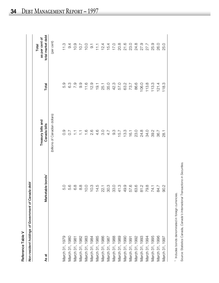| í |
|---|
|   |
|   |
|   |
|   |
|   |
| ľ |
|   |
|   |
|   |
|   |
|   |

| Reference Table V                                  |                               |                                    |            |                                              |
|----------------------------------------------------|-------------------------------|------------------------------------|------------|----------------------------------------------|
| Non-resident holdings of Government of Canada debt |                               |                                    |            |                                              |
| As at                                              | Marketable bonds <sup>1</sup> | Treasury bills and<br>Canada bills | Total      | total market debt<br>as per cent of<br>Total |
|                                                    |                               | (billions of Canadian dollars)     |            | (per cent)                                   |
| March 31, 1979                                     | 5.0                           | o.o                                | 5.9        | 11.3                                         |
| March 31, 1980                                     | 5.6                           | 7<br>O                             | ်<br>ဝ     | 9.4                                          |
| March 31, 1981                                     | 6.8                           | 들                                  | <b>P.7</b> | 10.9                                         |
| March 31, 1982                                     | 8.8                           | 들                                  | 9.9        | 10.7                                         |
| March 31, 1983                                     | 10.0                          | $\frac{6}{1}$                      | 11.6       | 10.0                                         |
| March 31, 1984                                     | 10.3                          | 2.6                                | 12.9       | $9.1$<br>$11.1$                              |
| March 31, 1985                                     | 14.5                          | $4.\overline{6}$                   | 19.1       |                                              |
| March 31, 1986                                     | 22.1                          | ್ಲ<br>೧                            | 25.1       | 12.4                                         |
| March 31, 1987                                     | 30.3                          | 4.7                                | 35.0       | 15.4                                         |
| March 31, 1988                                     | 33.0                          | ား                                 | 42.3       | 17.0                                         |
| March 31, 1989                                     | 41.3                          | 15.7                               | 57.0       | 20.8                                         |

Narch 31, 1989 989 15.7 57.0 57.0 57.0 57.0 20.8 March 31, 1990 49.9 13.3 63.2 21.6 Narch 31, 1991 1991 57.6 16.1 16.1 16.1 16.1 16.1 16.1 16.1 23.0 Narch 31, 1992 24.8 23.0 23.0 23.0 23.0 23.0 23.0 24.8 No.27 224.8 24.8 24.8 24.8 24.8 24.8 24.2 25 March 31, 1994 79.8 34.0 113.8 27.7 March 31, 1995 74.1 39.2 113.3 25.9 March 31, 1996 84.7 36.7 121.4 26.0 March 31, 1997 90.2 28.1 118.3 25.0

49.9

March 31, 1990

6 0 0 0 0 1 0<br>7 0 1 0 1 0 1<br>6 0 1 0 1 0 1 0 1 0

 $\begin{array}{c} 63.2 \\ 73.7 \\ 86.6 \\ 96.0 \\ 113.3 \\ 113.3 \end{array}$ 

57666274.1<br>585774.1

March 31, 1993

March 31, 1994

March 31, 1992

March 31, 1991

March 31, 1995 March 31, 1996 March 31, 1997

**26.0** 25.0

 $121.4$ 118.3

36.7 28.1

84.7 90.2

<sup>1</sup> Includes bonds denominated in foreign currencies. Includes bonds denominated in foreign currencies.

Source: Statistics Canada, Canada's International Transactions in Securities. Source: Statistics Canada, *Canada's International Transactions in Securities.*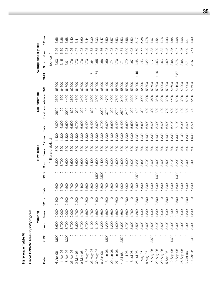| <b>Fable</b> | Eich 1006 OT Trone |
|--------------|--------------------|
|              |                    |
|              |                    |
|              |                    |
|              |                    |
| Reference    |                    |
|              |                    |
|              |                    |
|              |                    |
|              |                    |

, III.  $11006 - 07$ 

| Fiscal 1996-97 Treasury bill program |       |        |            |                 |       |         |        |                       |                 |       |         |               |        |      |                       |        |                 |
|--------------------------------------|-------|--------|------------|-----------------|-------|---------|--------|-----------------------|-----------------|-------|---------|---------------|--------|------|-----------------------|--------|-----------------|
|                                      |       |        | Maturing   |                 |       |         |        | New issues            |                 |       |         | Net increment |        |      | Average tender yields |        |                 |
| Date                                 | CMB   | g<br>ω | 6 mo       | $12 \text{ mo}$ | Total | CMB     | g<br>ო | ξ,<br>$\circ$         | $12 \text{ mo}$ | Total | Total   | cumulative    | SO     | CMB  | 3 <sub>mo</sub>       | g<br>ဖ | $12 \text{ mo}$ |
|                                      |       |        |            |                 |       |         |        | (millions of dollars) |                 |       |         |               |        |      | (per cent)            |        |                 |
| 4-Apr-96                             | 1,600 | 3,600  | 2,000      | 2,400           | 9,600 | O       | 3,800  | 800                   | 1,400           | 7,000 | 2600    | 2600          | 163500 |      | 5.03                  | 5.26   | 5.56            |
| $11 -$ Apr-96                        |       | 3,700  | 2,000      |                 | 5,700 |         | 3,700  | 800                   | .300            | 6,800 | 1100    | $-1500$       | 164600 |      | 5.15                  | 5.39   | 5.86            |
| 18-Apr-96                            | 1,300 | 3,700  | 2,000      | 2,500           | 9,500 | O       | 3,600  | ,700                  | ,300            | 6,600 | .2900   | $-4400$       | 161700 |      | 5.01                  | 5.23   | 5.58            |
| 25-Apr-96                            |       | 3,700  | 2,000      |                 | 5,700 | O       | 3,500  | 800                   | ,200            | 6,500 | 800     | -3600         | 162500 |      | 4.76                  | 4.96   | 5.40            |
| $2-May-96$                           |       | 3,800  | 1,700      | 2,200           | 7,700 | O       | 3,600  | 800                   | ,300            | 6,700 | $-1000$ | -4600         | 161500 |      | 4.73                  | 4.97   | 5.41            |
| $9-May-96$                           |       | 3,700  | 00/1       |                 | 5,400 | O       | 3,600  | 800                   | ,200            | 6,600 | 1200    | $-3400$       | 162700 |      | 4.76                  | 4.98   | 5.60            |
| 16-May-96                            |       | 3,700  | <b>SOO</b> | 2,300           | 7,500 | O       | 3,500  | ,600                  | .300            | 6,400 | $-1100$ | $-4500$       | 161600 |      | 4.73                  | 4.95   | 5.44            |
| 23-May-96                            |       | 4,100  | 1,700      | $\circ$         | 5,800 | $\circ$ | 3,400  | 800                   | 1,200           | 6,400 | 600     | -3900         | 162200 | 4.71 | 4.64                  | 4.83   | 5.39            |
| 30-May-96                            |       | 4,100  | ,500       | 2,400           | 8,000 | 1,500   | 3,500  | ,700                  | ,300            | 8,000 | $\circ$ | -3900         | 162200 | 4.74 | 4.65                  | 4.85   | 5.33            |
| $6 - Jun - 96$                       |       | 4,200  | ,600       |                 | 5,800 | 2,500   | 3,400  | ,600                  | 1,200           | 8,700 | 2900    | $-1000$       | 165100 |      | 4.68                  | 4.86   | 5.47            |
| $13 - Jun - 96$                      | 1,500 | 4,200  | 1,500      | 2,500           | 9,700 | $\circ$ | 3,300  | 500                   | 1,200           | 6,000 | $-3700$ | $-4700$       | 161400 |      | 4.69                  | 4.98   | 5.50            |
| 20-Jun-96                            |       | 4,200  | 1,600      | $\circ$         | 5,800 |         | 3,000  | 500                   | 1,100           | 5,600 | $-200$  | -4900         | 161200 |      | 4.74                  | 4.98   | 5.57            |
| 27-Jun-96                            |       | 4,000  | 1,500      | 2,600           | 8,100 |         | 2,900  | ,300                  | 1,200           | 5,400 | 2700    | -7600         | 158500 |      | 4.70                  | 4.98   | 5.53            |
| $4 - Jul - 96$                       | 2,500 | 3,800  | 1,600      | $\circ$         | 7,900 |         | 2,900  | ,500                  | 1,000           | 5,400 | $-2500$ | $-10100$      | 156000 |      | 4.71                  | 4.84   | 5.53            |
| $11 - Jul - 96$                      |       | 3,700  | 1,600      | 2,700           | 8,000 | 0       | 3,000  | ,400                  | .200            | 5,600 | $-2400$ | $-12500$      | 153600 |      | 4.70                  | 5.00   | 5.56            |
| $18 - Jul - 96$                      |       | 3,600  | 1,700      | $\circ$         | 5,300 |         | 3,000  | 1,500                 | 1,000           | 5,500 | 200     | $-12300$      | 153800 |      | 4.67                  | 4.98   | 5.52            |
| $25 - Jul - 96$                      |       | 3,500  | 1,800      | 2,800           | 8,100 | 2,500   | 3,200  | 1,600                 | 1,200           | 8,500 | 400     | $-11900$      | 154200 | 4.45 | 4.46                  | 4.79   | $\frac{1}{5}$   |
| 1-Aug-96                             |       | 3,600  | 000        | $\circ$         | 5,500 | O       | 3,500  | 1,800                 | 1,200           | 6,500 | 1000    | $-10900$      | 155200 |      | 4.43                  | 4.77   | 5.28            |
| 8-Aug-96                             |       | 3,600  | 1,800      | 2,800           | 8,200 | $\circ$ | 3,700  | 1,700                 | 1,400           | 6,800 | $-1400$ | $-12300$      | 153800 |      | 4.22                  | 4.49   | 4.78            |
| $15 - Aug - 96$                      | 2,500 | 3,500  | 1,900      | $\circ$         | 7,900 | $\circ$ | 3,600  | ,800                  | 1,200           | 6,600 | $-1300$ | $-13600$      | 152500 |      | 4.17                  | 4.33   | 4.67            |
| 22-Aug-96                            |       | 3,400  | 1,800      | 2,800           | 8,000 | 1,600   | 3,600  | 002'                  | 1,400           | 8,300 | 300     | $-13300$      | 152800 | 4.10 | 4.03                  | 4.29   | 4.54            |
| 29-Aug-96                            |       | 3,500  | 2,000      | $\circ$         | 5,500 | $\circ$ | 3,600  | ,800                  | 200             | 6,600 | 1100    | $-12200$      | 153900 |      | 4.03                  | 4.32   | 4.76            |
| 5-Sep-96                             |       | 3,400  | 2,000      | 2,800           | 8,200 | O       | 3,500  | 1,600                 | 1,400           | 6,500 | $-1700$ | $-13900$      | 152200 |      | 4.09                  | 4.48   | 4.93            |
| $12 - Sep-96$                        | 1,600 | 3,300  | 2,100      |                 | 7,000 | 0       | 3,400  | .800                  | 1,200           | 6,400 | -600    | $-14500$      | 151600 |      | 3.96                  | 4.35   | 4.85            |
| $19 - \text{Sep-96}$                 |       | 3,000  | 2,100      | 2,500           | 7,600 | 1,000   | 3,200  | 1,600                 | ,300            | 7,100 | $-500$  | $-15000$      | 151100 | 3.87 | 3.76                  | 4.27   | 4.68            |
| 26-Sep-96                            | 0     | 2,900  | 2,000      | $\circ$         | 4,900 | O       | 3,200  | 1,700                 | .100            | 6,000 | 1100    | $-13900$      | 152200 |      | 3.96                  | 4.26   | 4.66            |
| 3-Oct-96                             |       | 2,900  | 1,800      | 2,200           | 6,900 | O       | 3,000  | 1,400                 | ,200            | 5,600 | 1300    | $-15200$      | 50900  |      |                       | 4.09   | 4.41            |
| 10-Oct-96                            | 1,000 | 3,000  | 1,800      | $\circ$         | 5,800 | $\circ$ | 2,900  | 009                   | ,000            | 5,500 | $-300$  | $-15500$      | 150600 |      | 3.47                  | 3.71   | 4.00            |

**35**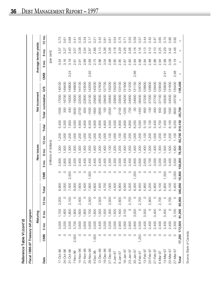| I |
|---|
|   |
|   |
|   |
|   |
|   |
|   |
|   |
|   |
|   |
|   |
| ì |
|   |
|   |
|   |
|   |
|   |
|   |
|   |
| ï |
|   |
| , |
|   |
|   |
|   |
|   |
|   |
|   |
|   |
|   |
|   |
|   |
|   |
|   |
|   |
|   |
|   |
|   |
|   |

| J  |
|----|
|    |
|    |
|    |
|    |
|    |
|    |
|    |
| Ĭ. |
|    |
|    |
|    |
|    |
|    |
|    |

| Fiscal 1996-97 Treasury bill program<br>Reference Table VI <i>(cont'd)</i> |         |                |          |                 |         |         |                 |                       |                   |         |                  |               |         |      |                 |                       |                 |
|----------------------------------------------------------------------------|---------|----------------|----------|-----------------|---------|---------|-----------------|-----------------------|-------------------|---------|------------------|---------------|---------|------|-----------------|-----------------------|-----------------|
|                                                                            |         |                | Maturing |                 |         |         |                 | New issues            |                   |         |                  | Net increment |         |      |                 | Average tender yields |                 |
| Date                                                                       | CMB     | g<br>ო         | 6 mo     | $12 \text{ mo}$ | Total   | CMB     | 3 <sub>mo</sub> | 6 <sub>mo</sub>       | $12 \text{ mo}$   | Total   | Total cumulative |               | SO      | CMB  | 3 <sub>mo</sub> | 6 <sub>mo</sub>       | $12 \text{ mo}$ |
|                                                                            |         |                |          |                 |         |         |                 | (millions of dollars) |                   |         |                  |               |         |      |                 | (per cent)            |                 |
| $17 - Oct - 96$                                                            |         | 3,000          | 1,700    | 2,200           | 6,900   | O       | 2,900           | 300                   | 200               | 5,400   | $-1500$          | $-17000$      | 149100  |      | 3.34            | 3.57                  | 3.73            |
| 24-Oct-96                                                                  |         | 3,200          | 1,800    |                 | 5,000   | $\circ$ | 2,800           | 500                   | 000               | 5,300   | 300              | $-16700$      | 149400  |      | 3.16            | 3.27                  | 3.61            |
| 31-Oct-96                                                                  |         | 3,500          | 1,800    | 2,100           | 7,400   | 2,500   | 2,800           | ,300                  | ,200              | 7,800   | 400              | $-16300$      | 149800  | 3.24 | 3.19            | 3.40                  | 3.68            |
| 7-Nov-96                                                                   | 2,500   | 3,700          | 1,800    |                 | 8,000   | O       | 2,500           | 500                   | 000               | 5,000   | 3000             | $-19300$      | 146800  |      | 2.91            | 3.07                  | 3.41            |
| 14-Nov-96                                                                  |         | 3,600          | 009'     | 2,400           | 7,600   | O       | 2,400           | 300                   | ,200              | 4,900   | 2700             | $-22000$      | 144100  |      | 2.91            | 3.08                  | 3.35            |
| 21-Nov-96                                                                  |         | 3,600          | 1,800    |                 | 5,400   | $\circ$ | 2,400           | ,400                  | ,000              | 4,800   | $-600$           | $-22600$      | 143500  |      | 2.89            | 3.04                  | 3.34            |
| 28-Nov-96                                                                  |         | 3,600          | 1,700    | 2,500           | 7,800   | 1,500   | 2,400           | ,200                  | ,200              | 6,300   | $-1500$          | $-24100$      | 142000  | 2.93 | 2.69            | 2.87                  | $\frac{1}{3}$   |
| 5-Dec-96                                                                   | 1,500   | 3,500          | 1,600    |                 | 6,600   | O       | 2,400           | ,400                  | 000               | 4,800   | $-1800$          | $-25900$      | 140200  |      | 2.73            | 2.88                  |                 |
| $12 - Dec - 96$                                                            |         | 3,400          | 1,500    | 2,500           | 7,400   | O       | 2,400           | ,200                  | 200               | 4,800   | $-2600$          | $-28500$      | 37600   |      | 2.86            | 3.13                  | 3.42            |
| 19-Dec-96                                                                  | $\circ$ | 3,200          | 1,500    |                 | 4,700   | O       | 2,400           | ,400                  | 000               | 4,800   | <b>OOL</b>       | $-28400$      | 137700  |      | 3.04            | 3.38                  | 3.81            |
| 27-Dec-96                                                                  |         | 3,200          | 1,300    | 2,500           | 7,000   | O       | 2,300           | $\frac{100}{100}$     | $\frac{100}{100}$ | 4,500   | $-2500$          | -30900        | 35200   |      | 2.88            | 3.26                  | 3.61            |
| $3 - Jan - 97$                                                             |         | 3,000          | 1,500    |                 | 4,500   | O       | 2,300           | ,200                  | 000               | 4,500   | $\circ$          | $-30900$      | 135200  |      | 2.80            | 3.18                  | 3.54            |
| $9 - Jan - 97$                                                             |         | 2,900          | 1,400    | 2,600           | 6,900   | O       | 2,500           | ,200                  | $\frac{100}{100}$ | 4,800   | $-2100$          | -33000        | 133100  |      | 2.85            | 3.29                  | 3.75            |
| 16-Jan-97                                                                  |         | 2,900          | 3,100    |                 | 6,000   | O       | 2,400           | ,400                  | ,000              | 4,800   | $-1200$          | $-34200$      | 31900   |      | 2.87            | 3.26                  | 3.71            |
| 23-Jan-97                                                                  |         | 2,800          |          | 2,700           | 5,500   | $\circ$ | 2,400           | ,200                  | ,200              | 4,800   | -700             | -34900        | 131200  |      | 2.80            | 3.08                  | 3.50            |
| $30 - Jan - 97$                                                            | O       | 2,800          | 3,500    |                 | 6,300   | 1,250   | 2,600           | ,400                  | ,000              | 6,250   | -50              | $-34950$      | 131150  | 2.86 | 2.84            | 3.16                  | 3.59            |
| $6 - Feb - 97$                                                             | 1,250   | 2,500          | $\circ$  | 2,700           | 6,450   | $\circ$ | 2,600           | ,200                  | 200               | 5,000   | $-1450$          | $-36400$      | 129700  |      | 2.86            | 3.16                  | 3.57            |
| $13 - Feb - 97$                                                            |         | 2,400          | 3,500    |                 | 5,900   | $\circ$ | 2,600           | ,400                  | 100               | 5,100   | -800             | $-37200$      | 128900  |      | 2.84            | 3.13                  | 3.44            |
| 20-Feb-97                                                                  |         | 2,400          | $\circ$  | 2,800           | 5,200   | $\circ$ | 2,700           | 200                   | ,200              | 5,100   | $-100$           | $-37300$      | 128800  |      | 2.88            | 3.10                  | 3.43            |
| 27-Feb-97                                                                  |         | 2,400          | 3,400    |                 | 5,800   | $\circ$ | 3,000           | ,400                  | 1,000             | 5,400   | -400             | -37700        | 128400  |      | 2.86            | 3.10                  | 3.47            |
| 6-Mar-97                                                                   |         | 2,400          |          | 2,700           | 5,100   | O       | 3,200           | 300                   | .200              | 5,700   | 600              | $-37100$      | 129000  |      | 2.94            | 3.25                  | 3.65            |
| 13-Mar-97                                                                  |         | 2,400          | 3,400    |                 | 5,800   | 1,500   | 3,300           | 500                   | 1,100             | 7,400   | 1600             | $-35500$      | 130600  | 2.91 | <b>2.99</b>     | 3.29                  | 3.74            |
| 20-Mar-97                                                                  |         | 2,400          | $\circ$  | 2,700           | 5,100   | $\circ$ | 3,400           | 500                   | 1,200             | 6,100   | 1000             | -34500        | 131600  |      | 3.09            | 3.42                  | 3.90            |
| 27-Mar-97                                                                  |         | 2,300          | 3,100    |                 | 5,400   | 3,000   | 3,500           | 1,600                 | 1,100             | 9,200   | 3800             | $-30700$      | 135400  | 2.98 | 3.19            | 3.48                  | 3.92            |
| Total                                                                      |         | 17,250 172,500 | 91,200   | 65,900          | 346,850 | 18,850  | 158,300         | 78,300                | 60,700            | 316,150 | $-30,700$        | ı             | 135,400 | I,   | I.              | ı                     |                 |

Source: Bank of Canada. Source: Bank of Canada.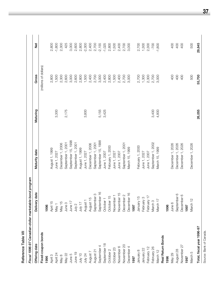Reference Table VII **Reference Table VII** 

| Fiscal 1996-97 Canadian-dollar marketable bond program |                      |                    |          |                       |           |
|--------------------------------------------------------|----------------------|--------------------|----------|-----------------------|-----------|
| Offering date                                          | Delivery date        | Maturity date      | Maturing | Gross                 | <u>bi</u> |
| Fixed-coupon bonds                                     |                      |                    |          | (millions of dollars) |           |
| 1996                                                   | 1996                 |                    |          |                       |           |
| April 3                                                | April 15             | August 1, 1999     |          | 2,800                 | 2,800     |
| April 24                                               | May 1                | June 1, 2027       | 3,300    | 1,500                 | $-1,800$  |
| May 8                                                  | May 15               | December 1, 2006   |          | 2,300                 | 2,300     |
| May 22                                                 | June 3               | September 1, 2001  | 2,175    | 2,600                 | 425       |
| June 5                                                 | June 17              | September 15, 1998 |          | 3,000                 | 3,000     |
| June 19                                                | July 2               | September 1, 2001  |          | 2,600                 | 2,600     |
| July 10                                                | July 17              | August 1, 1999     |          | 2,800                 | 2,800     |
| <b>July 24</b>                                         | August 1             | June 1, 2027       | 3,800    | 1,500                 | $-2,300$  |
| August 7                                               | August 15            | December 1, 2006   |          | 2,400                 | 2,400     |
| August 21                                              | September 3          | September 1, 2001  |          | 2,700                 | 2,700     |
| September                                              | September 16         | September 15, 1998 | 5,155    | 3,000                 | $-2,155$  |
| September 18                                           | October <sub>1</sub> | June 1, 2007       | 3,425    | 2,400                 | $-1,025$  |
| October 2                                              | October 15           | February 1, 2000   |          | 2,800                 | 2,800     |
| October 23                                             | November 1           | June 1, 2027       |          | 1,500                 | 1,500     |
| November 6                                             | November 15          | June 1, 2007       |          | 2,400                 | 2,400     |
| November 20                                            | December 2           | September 1, 2001  |          | 2,700                 | 2,700     |
| December 4                                             | December 16          | March 15, 1999     |          | 3,000                 | 3,000     |
| 1997                                                   | 1997                 |                    |          |                       |           |
| January 8                                              | January 15           | February 1, 2000   |          | 2,700                 | 2,700     |
| January 22                                             | February 3           | June 1, 2027       |          | 1,300                 | 1,300     |
| February 12                                            | February 17          | June 1, 2007       |          | 2,300                 | 2,300     |
| February 26                                            | March <sub>3</sub>   | September 1, 2002  | 3,400    | 2,700                 | -700      |
| March 12                                               | March 17             | March 15, 1999     | 4,800    | 3,000                 | $-1,800$  |
| Real Return Bonds                                      |                      |                    |          |                       |           |
| 1996                                                   | 1996                 |                    |          |                       |           |
| May 29                                                 | June 6               | December 1, 2026   |          | 400                   | 400       |
| August 28                                              | September 6          | December 1, 2026   |          | 400                   | 400       |
| November 27                                            | December 6           | December 1, 2026   |          | 400                   | 400       |
| 1997                                                   | 1997                 |                    |          |                       |           |
| March 5                                                | March 12             | December 1, 2026   |          | 500                   | 500       |
| Total, fiscal year 1996-97                             |                      |                    | 26,055   | 55,700                | 29,645    |

**37**

Source: Bank of Canada. Source: Bank of Canada.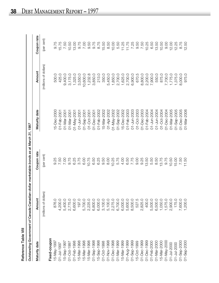| C |
|---|
|   |
|   |
|   |
| ş |
|   |
|   |
|   |
|   |

| Reference Table VIII   |                                                                                        |             |                 |                       |             |
|------------------------|----------------------------------------------------------------------------------------|-------------|-----------------|-----------------------|-------------|
|                        | Outstanding Government of Canada Canadian-dollar marketable bonds as at March 31, 1997 |             |                 |                       |             |
| Maturity date          | Amount                                                                                 | Coupon rate | Maturity date   | Amount                | Coupon rate |
|                        | (millions of dollars)                                                                  | (per cent)  |                 | (millions of dollars) | (per cent)  |
| Fixed-coupon           |                                                                                        |             |                 |                       |             |
| 15-May-1997            | 876.0                                                                                  | 9.25        | 15-Dec-2000     | 500.0                 | 9.75        |
| 01-Jul-1997            | 4,200.0                                                                                | 7.50        | 01-Feb-2001     | 425.0                 | 15.75       |
| 15-Sep-1997            | 5,400.0                                                                                | 7.00        | 01-Mar-2001     | 9,400.0               | 7.50        |
| 01-Oct-1997            | 2,775.0                                                                                | 9.75        | 01-Mar-2001     | 3,175.0               | 10.50       |
| 01-Feb-1998            | 6,600.0                                                                                | 6.25        | 01-May-2001     | 1,325.0               | 13.00       |
| 15-Mar-1998            | 197.0                                                                                  | 3.75        | 01-Jun-2001     | 3,550.0               | 9.75        |
| 15-Mar-1998            | 5,700.0                                                                                | 6.00        | $01 -$ Sep-2001 | 10,600.0              | 7.00        |
| 15-Mar-1998            | 2,225.0                                                                                | 10.75       | 01-Oct-2001     | 1,232.8               | 9.50        |
| 01-Sep-1998            | 6,800.0                                                                                | 6.50        | 01-Dec-2001     | 3,850.0               | 9.75        |
| 15-Sep-1998            | 6,000.0                                                                                | 6.25        | 01-Feb-2002     | 213.0                 | 8.75        |
| 01-Oct-1998            | 3,100.0                                                                                | 9.50        | 15-Mar-2002     | 350.0                 | 15.50       |
| 01-Nov-1998            | 5,100.0                                                                                | 8.00        | 01-Apr-2002     | 5,450.0               | 8.50        |
| 01-Dec-1998            | 2,275.0                                                                                | 10.25       | 01-May-2002     | 1,850.0               | 10.00       |
| 01-Mar-1999            | 6,700.0                                                                                | 5.75        | 01-Sep-2002     | 2,700.0               | 5.50        |
| 15-Mar-1999            | 6,000.0                                                                                | 4.00        | 15-Dec-2002     | 1,625.0               | 11.25       |
| 01-Aug-1999            | 5,600.0                                                                                | 6.50        | 01-Feb-2003     | 2,700.0               | 11.75       |
| $01 - \text{Sep-1999}$ | 8,500.0                                                                                | 7.75        | 01-Jun-2003     | 6,900.0               | 7.25        |
| 15-Oct-1999            | 527.5                                                                                  | 0.00        | 01-Oct-2003     | 670.5                 | 9.50        |
| 01-Dec-1999            | 2,825.0                                                                                | 9.25        | 01-Dec-2003     | 8,800.0               | 7.50        |
| 01-Dec-1999            | 400.0                                                                                  | 3.50        | 01-Feb-2004     | 2,200.0               | 10.25       |
| 01-Feb-2000            | 5,500.0                                                                                | 5.50        | 01-Jun-2004     | 7,900.0               | 6.50        |
| 01-Mar-2000            | 6,500.0                                                                                | 8.50        | 01-Jun-2004     | 550.0                 | 13.50       |
| 15-Mar-2000            | 1,050.0                                                                                | 3.75        | 01-Oct-2004     | 875.0                 | 10.50       |
| 01-May-2000            | 1,575.0                                                                                | 9.75        | 01-Dec-2004     | 7,700.0               | 9.00        |
| 01-Jul-2000            | 2,900.0                                                                                | 10.50       | 01-Mar-2005     | 1,775.0               | 12.00       |
| 01-Jul-2000            | 175.0                                                                                  | 15.00       | 01-Sep-2005     | 1,375.0               | 12.25       |
| 01-Sep-2000            | 7,600.0                                                                                | 7.50        | 01-Dec-2005     | 8,000.0               | 8.75        |
| 01-Sep-2000            | 1,200.0                                                                                | 11.50       | 01-Mar-2006     | 975.0                 | 12.50       |

 $\overline{1}$ 

 $\overline{1}$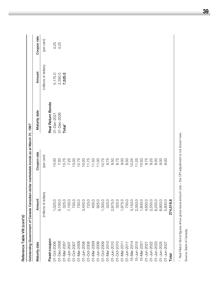| Reference Table VIII (cont'd)             |                                                                                        |             |                          |                       |             |
|-------------------------------------------|----------------------------------------------------------------------------------------|-------------|--------------------------|-----------------------|-------------|
|                                           | Outstanding Government of Canada Canadian-dollar marketable bonds as at March 31, 1997 |             |                          |                       |             |
| Maturity date                             | Amount                                                                                 | Coupon rate | Maturity date            | Amount                | Coupon rate |
|                                           | (millions of dollars)                                                                  | (per cent)  |                          | (millions of dollars) | (per cent)  |
| Fixed-coupon                              |                                                                                        |             | <b>Real Return Bonds</b> |                       |             |
| 01-Oct-2006                               | 1,025.0                                                                                | 14.00       | 01-Dec-202               | 5,175.0               | 4.25        |
| 01-Dec-2006                               | 9,100.0                                                                                | 7.00        | 01-Dec-2026              | 2,350.0               | 4.25        |
| 01-Mar-2007                               | 325.0                                                                                  | 13.75       | Total <sup>1</sup>       | 7,525.0               |             |
| 01-Jun-2007                               | 7,100.0                                                                                | 7.25        |                          |                       |             |
|                                           | 700.0                                                                                  | 13.00       |                          |                       |             |
| 01-Oct-2007<br>01-Mar-2008                | 750.0                                                                                  | 12.75       |                          |                       |             |
| 01-Jun-2008                               | 3,450.0                                                                                | 10.00       |                          |                       |             |
| 01-Oct-2008                               | 725.0                                                                                  | 11.75       |                          |                       |             |
| 01-Mar-2009                               | 400.0                                                                                  | 11.50       |                          |                       |             |
| 01-Jun-2009                               | 925.0                                                                                  | 11.00       |                          |                       |             |
|                                           | 1,300.0                                                                                | 10.75       |                          |                       |             |
| 01-Oct-2009<br>01-Mar-2010                | 325.0                                                                                  | 9.75        |                          |                       |             |
| 01-Jun-2010                               | 2,975.0                                                                                | 9.50        |                          |                       |             |
| 01-Oct-2010                               | 325.0                                                                                  | 8.75        |                          |                       |             |
| 01-Mar-2011                               | 1,975.0                                                                                | 9.00        |                          |                       |             |
| 01-Jun-201                                | 750.0                                                                                  | 8.50        |                          |                       |             |
| 15-Mar-2014<br>15-Jun-2015<br>15-Mar-2021 | 3,150.0                                                                                | 10.25       |                          |                       |             |
|                                           | 2,350.0                                                                                | 11.25       |                          |                       |             |
|                                           | 1,800.0                                                                                | 10.50       |                          |                       |             |
| 01-Jun-2021                               | 4,650.0                                                                                | 9.75        |                          |                       |             |
| 01-Jun-2022                               | 2,550.0                                                                                | 9.25        |                          |                       |             |
| 01-Jun-2023                               | 8,200.0                                                                                | 8.00        |                          |                       |             |
| 01-Jun-2025                               | 8,900.0                                                                                | 0.00        |                          |                       |             |
| 01-Jun-2027                               | 5,800.0                                                                                | 8.00        |                          |                       |             |
| Total                                     | 274,516.8                                                                              |             |                          |                       |             |
|                                           |                                                                                        |             |                          |                       |             |

1 Real Return Bond figures show gross issue amount only - the CPI adjustment is not shown here. Real Return Bond figures show gross issue amount only – the CPI adjustment is not shown here.

Source: Bank of Canada. Source: Bank of Canada.

**39**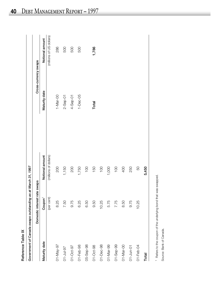| Reference Table IX |                                                             |                       |                |                          |
|--------------------|-------------------------------------------------------------|-----------------------|----------------|--------------------------|
|                    | Government of Canada swaps outstanding as at March 31, 1997 |                       |                |                          |
|                    | Domestic interest                                           | rate swaps            |                | Cross-currency swaps     |
| Maturity date      | Coupon <sup>1</sup>                                         | Notional amount       | Maturity date  | Notional amount          |
|                    | (per cent)                                                  | (millions of dollars) |                | (millions of US dollars) |
| 01-May-97          | 8.25                                                        | 200                   | $1 - Max - OO$ | 286                      |
| 01-Jul-97          | 7.50                                                        | 1,150                 | $2 -$ Sep-01   | 500                      |
| 01-Oct-97          | 9.75                                                        | 200                   | $4-$ Sep-01    | 500                      |
| 01-Feb-98          | 6.25                                                        | 1,750                 | $1 - Dec -05$  | 500                      |
| 05-Sep-98          | 6.50                                                        | $\overline{100}$      |                |                          |
| 01-Oct-98          | 9.50                                                        | 150                   | Total          | 1,786                    |
| 01-Dec-98          | 10.25                                                       | $\overline{001}$      |                |                          |
| 01-Mar-99          | 5.75                                                        | 1,000                 |                |                          |
| 01-Sep-99          | 7.75                                                        | $\overline{100}$      |                |                          |
| 01-Mar-00          | 8.50                                                        | 400                   |                |                          |
| 01-Jun-01          | 9.75                                                        | 250                   |                |                          |
| 01-Feb-04          | 10.25                                                       | 50                    |                |                          |
| Total              |                                                             | 5,450                 |                |                          |

<sup>1</sup> Refers to the coupon of the underlying bond that was swapped. Refers to the coupon of the underlying bond that was swapped.

Source: Bank of Canada. Source: Bank of Canada.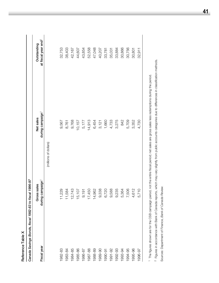| during campaign <sup>1</sup><br>Net sales<br>1,660<br>4,733<br>3,275<br>842<br>5,709<br>3,352<br>9,768<br>10,157<br>14,913<br>6,454<br>9,567<br>5,177<br>3,121<br>8,761<br>(millions of dollars)<br>Canada Savings Bonds, fiscal 1982-83 to fiscal 1996-97<br>campaign <sup>1</sup><br>Gross sales<br>,338<br>6,720<br>588<br>,235<br>506<br>229<br>.364<br>12,743<br>17,450<br>14,962<br>.612<br>.584<br>15,107<br>9,191<br>$\overline{t}$<br>$\frac{1}{\sqrt{2}}$<br>$\circ$<br>တ<br>တ<br>5<br>$\overline{ }$<br>4<br>during<br>Fiscal year<br>1982-83<br>1985-86<br>1984-85<br>1992-93<br>1994-95<br>1995-96<br>1983-84<br>1987-88<br>1988-89<br>1989-90<br>1991-92<br>1993-94<br>1986-87<br>1990-91 |       |       |                                                |
|---------------------------------------------------------------------------------------------------------------------------------------------------------------------------------------------------------------------------------------------------------------------------------------------------------------------------------------------------------------------------------------------------------------------------------------------------------------------------------------------------------------------------------------------------------------------------------------------------------------------------------------------------------------------------------------------------------|-------|-------|------------------------------------------------|
|                                                                                                                                                                                                                                                                                                                                                                                                                                                                                                                                                                                                                                                                                                         |       |       |                                                |
|                                                                                                                                                                                                                                                                                                                                                                                                                                                                                                                                                                                                                                                                                                         |       |       | at fiscal year end <sup>2</sup><br>Outstanding |
|                                                                                                                                                                                                                                                                                                                                                                                                                                                                                                                                                                                                                                                                                                         |       |       |                                                |
|                                                                                                                                                                                                                                                                                                                                                                                                                                                                                                                                                                                                                                                                                                         |       |       | 32,753                                         |
|                                                                                                                                                                                                                                                                                                                                                                                                                                                                                                                                                                                                                                                                                                         |       |       | 38,403                                         |
|                                                                                                                                                                                                                                                                                                                                                                                                                                                                                                                                                                                                                                                                                                         |       |       | 42,167                                         |
|                                                                                                                                                                                                                                                                                                                                                                                                                                                                                                                                                                                                                                                                                                         |       |       | 44,607                                         |
|                                                                                                                                                                                                                                                                                                                                                                                                                                                                                                                                                                                                                                                                                                         |       |       | 43,854                                         |
|                                                                                                                                                                                                                                                                                                                                                                                                                                                                                                                                                                                                                                                                                                         |       |       | 52,558                                         |
|                                                                                                                                                                                                                                                                                                                                                                                                                                                                                                                                                                                                                                                                                                         |       |       | 47,048                                         |
|                                                                                                                                                                                                                                                                                                                                                                                                                                                                                                                                                                                                                                                                                                         |       |       | 40,207                                         |
|                                                                                                                                                                                                                                                                                                                                                                                                                                                                                                                                                                                                                                                                                                         |       |       | 33,781                                         |
|                                                                                                                                                                                                                                                                                                                                                                                                                                                                                                                                                                                                                                                                                                         |       |       | 35,031                                         |
|                                                                                                                                                                                                                                                                                                                                                                                                                                                                                                                                                                                                                                                                                                         |       |       | 33,884                                         |
|                                                                                                                                                                                                                                                                                                                                                                                                                                                                                                                                                                                                                                                                                                         |       |       | 30,866                                         |
|                                                                                                                                                                                                                                                                                                                                                                                                                                                                                                                                                                                                                                                                                                         |       |       | 30,756                                         |
|                                                                                                                                                                                                                                                                                                                                                                                                                                                                                                                                                                                                                                                                                                         |       |       | 30,801                                         |
| 1996-97                                                                                                                                                                                                                                                                                                                                                                                                                                                                                                                                                                                                                                                                                                 | 5,710 | 4,730 | 32,911                                         |

1 The figures shown are for the CSB campaign period, not the entire fiscal period; net sales are gross sales less redemptions during the period. The figures shown are for the CSB campaign period, not the entire fiscal period; net sales are gross sales less redemptions during the period.

<sup>2</sup> Figures in accordance with Bank of Canada reports, which may vary slightly from public accounts categories due to differences in classification methods. Figures in accordance with Bank of Canada reports, which may vary slightly from public accounts categories due to differences in classification methods.

Sources: Department of Finance, Bank of Canada Review. Sources: Department of Finance, *Bank of Canada Review.*